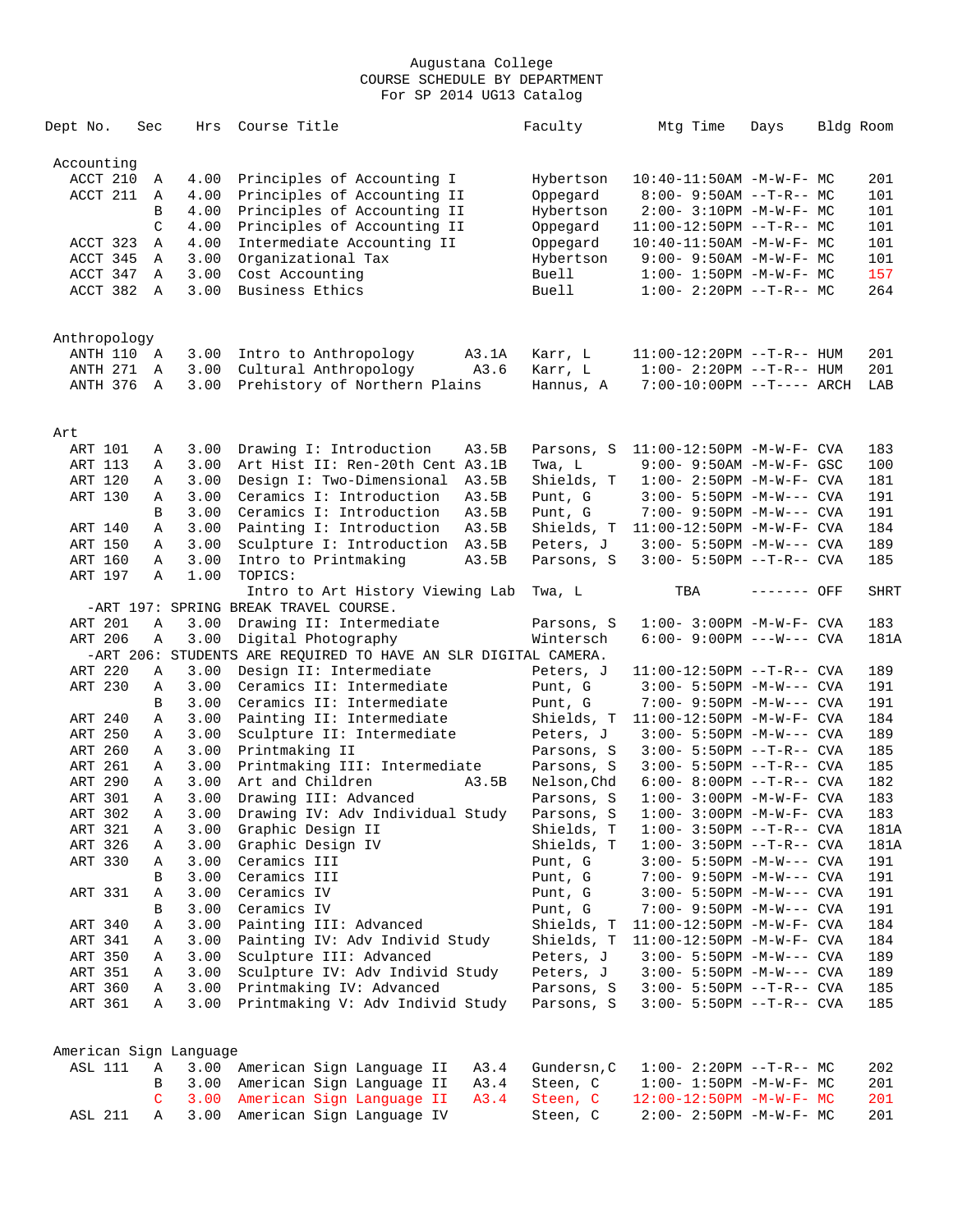| Dept No.               | Sec          | Hrs  | Course Title                                                              |       | Faculty      | Mtg Time                          | Days        | Bldg Room |             |
|------------------------|--------------|------|---------------------------------------------------------------------------|-------|--------------|-----------------------------------|-------------|-----------|-------------|
| Accounting             |              |      |                                                                           |       |              |                                   |             |           |             |
| ACCT 210               | Α            | 4.00 | Principles of Accounting I                                                |       | Hybertson    | 10:40-11:50AM -M-W-F- MC          |             |           | 201         |
| ACCT 211               | A            | 4.00 | Principles of Accounting II                                               |       | Oppegard     | $8:00 - 9:50AM -T-R-- MC$         |             |           | 101         |
|                        | B            | 4.00 | Principles of Accounting II                                               |       | Hybertson    | $2:00-3:10PM -M-W-F-MC$           |             |           | 101         |
|                        | C            | 4.00 | Principles of Accounting II                                               |       | Oppegard     | $11:00-12:50PM$ --T-R-- MC        |             |           | 101         |
| ACCT 323               | Α            | 4.00 | Intermediate Accounting II                                                |       | Oppegard     | $10:40-11:50AM$ -M-W-F- MC        |             |           | 101         |
| ACCT 345               | Α            | 3.00 | Organizational Tax                                                        |       | Hybertson    | $9:00 - 9:50AM - M - W - F - MC$  |             |           | 101         |
| ACCT 347               | Α            | 3.00 | Cost Accounting                                                           |       | Buell        | $1:00 - 1:50PM -M-W-F - MC$       |             |           | 157         |
| ACCT 382               | $\mathbb{A}$ | 3.00 | Business Ethics                                                           |       | <b>Buell</b> | $1:00-2:20PM -T-R--MC$            |             |           | 264         |
|                        |              |      |                                                                           |       |              |                                   |             |           |             |
| Anthropology           |              |      |                                                                           |       |              |                                   |             |           |             |
| ANTH 110 A             |              | 3.00 | Intro to Anthropology                                                     | A3.1A | Karr, L      | $11:00-12:20PM$ --T-R-- HUM       |             |           | 201         |
| ANTH 271               | A            | 3.00 | Cultural Anthropology                                                     | A3.6  | Karr, L      | $1:00-2:20PM -T-R--HUM$           |             |           | 201         |
| ANTH 376               | A            | 3.00 | Prehistory of Northern Plains                                             |       | Hannus, A    | $7:00-10:00PM$ --T---- ARCH       |             |           | LAB         |
|                        |              |      |                                                                           |       |              |                                   |             |           |             |
| Art                    |              |      |                                                                           |       |              |                                   |             |           |             |
| ART 101                | Α            | 3.00 | Drawing I: Introduction                                                   | A3.5B | Parsons, S   | $11:00-12:50PM -M-W-F-CVA$        |             |           | 183         |
| ART 113                | Α            | 3.00 | Art Hist II: Ren-20th Cent A3.1B                                          |       | Twa, L       | 9:00- 9:50AM -M-W-F- GSC          |             |           | 100         |
| ART 120                | Α            | 3.00 | Design I: Two-Dimensional                                                 | A3.5B | Shields, T   | $1:00 - 2:50PM -M-W-F - CVA$      |             |           | 181         |
| ART 130                | Α            | 3.00 | Ceramics I: Introduction                                                  | A3.5B | Punt, G      | $3:00 - 5:50PM -M-W---$ CVA       |             |           | 191         |
|                        | В            | 3.00 | Ceramics I: Introduction                                                  | A3.5B | Punt, G      | $7:00 - 9:50PM -M-W---$ CVA       |             |           | 191         |
| ART 140                | Α            | 3.00 | Painting I: Introduction                                                  | A3.5B | Shields, T   | $11:00-12:50PM -M-W-F-CVA$        |             |           | 184         |
| ART 150                | Α            | 3.00 | Sculpture I: Introduction A3.5B                                           |       | Peters, J    | $3:00 - 5:50PM -M-W---$ CVA       |             |           | 189         |
| ART 160                | Α            | 3.00 | Intro to Printmaking                                                      | A3.5B | Parsons, S   | $3:00 - 5:50PM -T-R--CVA$         |             |           | 185         |
| ART 197                | Α            | 1.00 | TOPICS:                                                                   |       |              |                                   |             |           |             |
|                        |              |      | Intro to Art History Viewing Lab<br>-ART 197: SPRING BREAK TRAVEL COURSE. |       | Twa, L       | TBA                               | ------- OFF |           | <b>SHRT</b> |
| ART 201                | Α            | 3.00 | Drawing II: Intermediate                                                  |       | Parsons, S   | $1:00 - 3:00PM - M - W - F - CVA$ |             |           | 183         |
| ART 206                | Α            | 3.00 | Digital Photography                                                       |       | Wintersch    | $6:00 - 9:00PM$ ---W--- CVA       |             |           | 181A        |
|                        |              |      | -ART 206: STUDENTS ARE REQUIRED TO HAVE AN SLR DIGITAL CAMERA.            |       |              |                                   |             |           |             |
| ART 220                | Α            | 3.00 | Design II: Intermediate                                                   |       | Peters, J    | $11:00-12:50PM$ --T-R-- CVA       |             |           | 189         |
| ART 230                | Α            | 3.00 | Ceramics II: Intermediate                                                 |       | Punt, G      | $3:00 - 5:50PM -M-W---$ CVA       |             |           | 191         |
|                        | B            | 3.00 | Ceramics II: Intermediate                                                 |       | Punt, G      | 7:00- 9:50PM -M-W--- CVA          |             |           | 191         |
| ART 240                | Α            | 3.00 | Painting II: Intermediate                                                 |       | Shields, T   | $11:00-12:50PM -M-W-F-CVA$        |             |           | 184         |
| ART 250                | Α            | 3.00 | Sculpture II: Intermediate                                                |       | Peters, J    | $3:00 - 5:50PM -M-W---$ CVA       |             |           | 189         |
| ART 260                | Α            | 3.00 | Printmaking II                                                            |       | Parsons, S   | $3:00 - 5:50PM -T-R--CVA$         |             |           | 185         |
| ART 261                | Α            | 3.00 | Printmaking III: Intermediate                                             |       | Parsons, S   | $3:00 - 5:50PM -T-R--CVA$         |             |           | 185         |
| ART 290                | Α            | 3.00 | Art and Children                                                          | A3.5B | Nelson, Chd  | $6:00 - 8:00PM -T-R--CVA$         |             |           | 182         |
| <b>ART 301</b>         | Α            | 3.00 | Drawing III: Advanced                                                     |       |              | $1:00 - 3:00PM -M-W-F-CVA$        |             |           | 183         |
|                        |              |      |                                                                           |       | Parsons, S   |                                   |             |           |             |
| ART 302                | Α            | 3.00 | Drawing IV: Adv Individual Study                                          |       | Parsons, S   | $1:00-3:00PM -M-W-F-CVA$          |             |           | 183         |
| ART 321                | Α            | 3.00 | Graphic Design II                                                         |       | Shields, T   | $1:00-3:50PM -T-R--CVA$           |             |           | 181A        |
| ART 326                | Α            | 3.00 | Graphic Design IV                                                         |       | Shields, T   | $1:00-3:50PM -T-R--CVA$           |             |           | 181A        |
| ART 330                | Α            | 3.00 | Ceramics III                                                              |       | Punt, G      | $3:00 - 5:50PM -M-W---$ CVA       |             |           | 191         |
|                        | B            | 3.00 | Ceramics III                                                              |       | Punt, G      | 7:00- 9:50PM -M-W--- CVA          |             |           | 191         |
| ART 331                | Α            | 3.00 | Ceramics IV                                                               |       | Punt, G      | $3:00 - 5:50PM -M-W---$ CVA       |             |           | 191         |
|                        | В            | 3.00 | Ceramics IV                                                               |       | Punt, G      | 7:00- 9:50PM -M-W--- CVA          |             |           | 191         |
| ART 340                | Α            | 3.00 | Painting III: Advanced                                                    |       | Shields, T   | 11:00-12:50PM -M-W-F- CVA         |             |           | 184         |
| ART 341                | Α            | 3.00 | Painting IV: Adv Individ Study                                            |       | Shields, T   | 11:00-12:50PM -M-W-F- CVA         |             |           | 184         |
| ART 350                | Α            | 3.00 | Sculpture III: Advanced                                                   |       | Peters, J    | 3:00- 5:50PM -M-W--- CVA          |             |           | 189         |
| ART 351                | Α            | 3.00 | Sculpture IV: Adv Individ Study                                           |       | Peters, J    | $3:00 - 5:50PM -M-W---$ CVA       |             |           | 189         |
| ART 360                | Α            | 3.00 | Printmaking IV: Advanced                                                  |       | Parsons, S   | $3:00 - 5:50PM -T-R--CVA$         |             |           | 185         |
| ART 361                | Α            | 3.00 | Printmaking V: Adv Individ Study                                          |       | Parsons, S   | 3:00- 5:50PM --T-R-- CVA          |             |           | 185         |
|                        |              |      |                                                                           |       |              |                                   |             |           |             |
| American Sign Language |              |      |                                                                           |       |              |                                   |             |           |             |
| ASL 111                | Α            | 3.00 | American Sign Language II                                                 | A3.4  | Gundersn, C  | $1:00-2:20PM -T-R--MC$            |             |           | 202         |
|                        | В            | 3.00 | American Sign Language II                                                 | A3.4  | Steen, C     | $1:00 - 1:50PM - M - W - F - MC$  |             |           | 201         |
|                        | C            | 3.00 | American Sign Language II                                                 | A3.4  | Steen, C     | $12:00-12:50PM -M-W-F-MC$         |             |           | 201         |
| <b>ASL 211</b>         | Α            | 3.00 | American Sign Language IV                                                 |       | Steen, C     | 2:00- 2:50PM -M-W-F- MC           |             |           | 201         |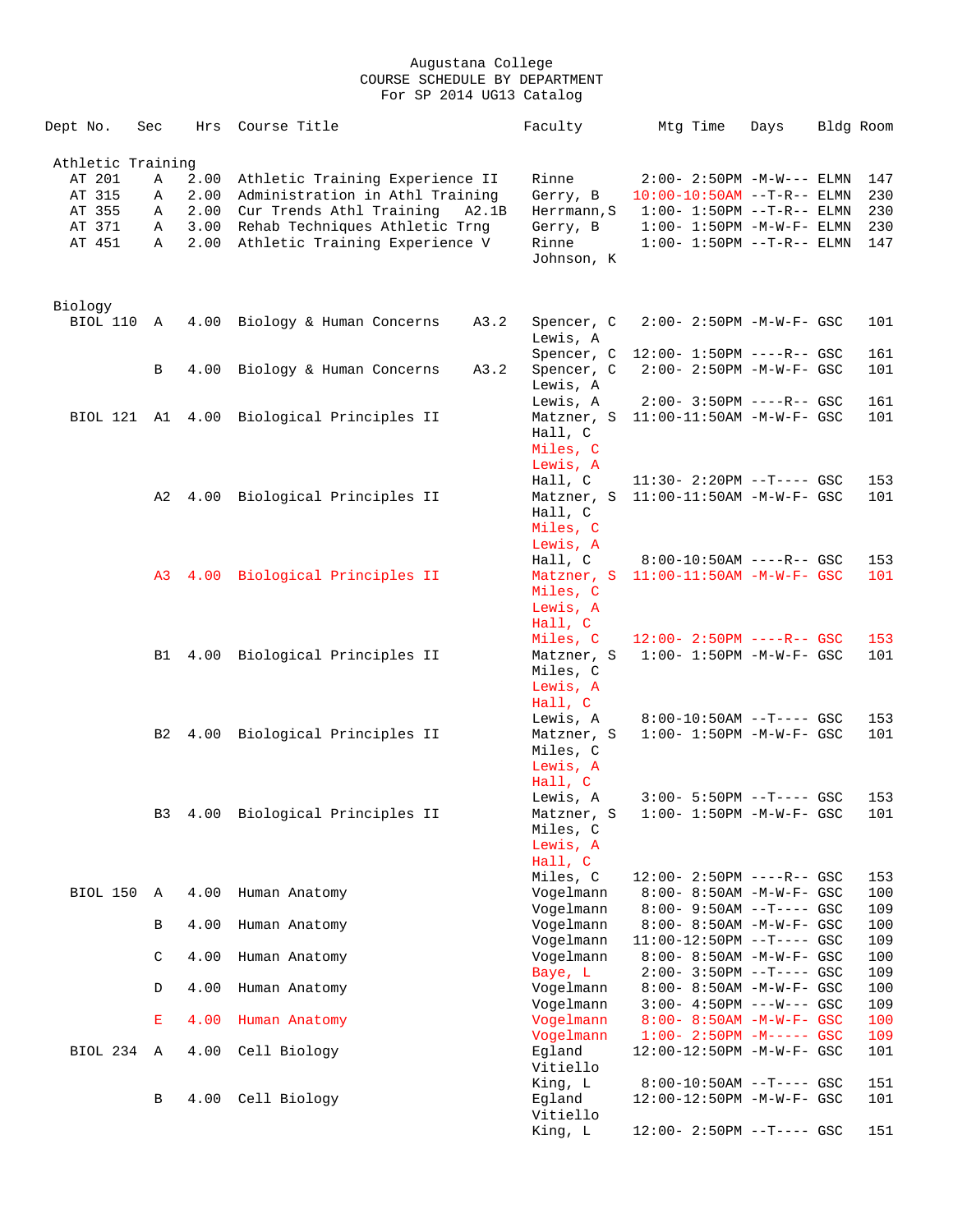| Dept No.          | Sec            | Hrs  | Course Title                              | Faculty     | Mtg Time                          | Days | Bldg Room |     |
|-------------------|----------------|------|-------------------------------------------|-------------|-----------------------------------|------|-----------|-----|
| Athletic Training |                |      |                                           |             |                                   |      |           |     |
| AT 201            | Α              | 2.00 | Athletic Training Experience II           | Rinne       | $2:00-2:50PM -M-W---$ ELMN        |      |           | 147 |
| AT 315            | Α              | 2.00 | Administration in Athl Training           | Gerry, B    | $10:00-10:50AM$ --T-R-- ELMN      |      |           | 230 |
| AT 355            | Α              |      | 2.00 Cur Trends Athl Training<br>A2.1B    | Herrmann, S | $1:00 - 1:50PM -T-R-- ELMN$       |      |           | 230 |
| AT 371            | Α              | 3.00 | Rehab Techniques Athletic Trng            | Gerry, B    | $1:00-1:50PM -M-W-F-ELMN$         |      |           | 230 |
| AT 451            | Α              | 2.00 | Athletic Training Experience V            | Rinne       | $1:00 - 1:50PM -T-R-- ELMN$       |      |           | 147 |
|                   |                |      |                                           | Johnson, K  |                                   |      |           |     |
|                   |                |      |                                           |             |                                   |      |           |     |
| Biology           |                |      |                                           |             |                                   |      |           |     |
| BIOL 110 A        |                |      | 4.00 Biology & Human Concerns<br>A3.2     | Spencer, C  | $2:00 - 2:50PM -M-W-F - GSC$      |      |           | 101 |
|                   |                |      |                                           | Lewis, A    |                                   |      |           |     |
|                   |                |      |                                           | Spencer, C  | $12:00 - 1:50PM$ ----R-- GSC      |      |           | 161 |
|                   | B              | 4.00 | Biology & Human Concerns<br>A3.2          | Spencer, C  | $2:00 - 2:50PM - M - W - F - GSC$ |      |           | 101 |
|                   |                |      |                                           | Lewis, A    |                                   |      |           |     |
|                   |                |      |                                           | Lewis, A    | $2:00 - 3:50PM$ ----R-- GSC       |      |           | 161 |
|                   |                |      | BIOL 121 A1 4.00 Biological Principles II | Matzner, S  | $11:00-11:50AM$ -M-W-F- GSC       |      |           | 101 |
|                   |                |      |                                           | Hall, C     |                                   |      |           |     |
|                   |                |      |                                           | Miles, C    |                                   |      |           |     |
|                   |                |      |                                           | Lewis, A    |                                   |      |           |     |
|                   |                |      |                                           | Hall, C     | $11:30 - 2:20PM -T--- GSC$        |      |           | 153 |
|                   | A2             | 4.00 | Biological Principles II                  | Matzner, S  | 11:00-11:50AM -M-W-F- GSC         |      |           | 101 |
|                   |                |      |                                           | Hall, C     |                                   |      |           |     |
|                   |                |      |                                           | Miles, C    |                                   |      |           |     |
|                   |                |      |                                           | Lewis, A    |                                   |      |           |     |
|                   |                |      |                                           | Hall, C     | $8:00-10:50AM$ ----R-- GSC        |      |           | 153 |
|                   |                |      | A3 4.00 Biological Principles II          | Matzner, S  | $11:00-11:50AM$ -M-W-F- GSC       |      |           | 101 |
|                   |                |      |                                           | Miles, C    |                                   |      |           |     |
|                   |                |      |                                           | Lewis, A    |                                   |      |           |     |
|                   |                |      |                                           | Hall, C     |                                   |      |           |     |
|                   |                |      |                                           | Miles, C    | $12:00 - 2:50PM$ ----R-- GSC      |      |           | 153 |
|                   | B1             |      | 4.00 Biological Principles II             | Matzner, S  | $1:00 - 1:50PM - M - W - F - GSC$ |      |           | 101 |
|                   |                |      |                                           | Miles, C    |                                   |      |           |     |
|                   |                |      |                                           | Lewis, A    |                                   |      |           |     |
|                   |                |      |                                           | Hall, C     |                                   |      |           |     |
|                   |                |      |                                           | Lewis, A    | $8:00-10:50AM$ --T---- GSC        |      |           | 153 |
|                   | B <sub>2</sub> |      | 4.00 Biological Principles II             | Matzner, S  | $1:00 - 1:50PM - M - W - F - GSC$ |      |           | 101 |
|                   |                |      |                                           | Miles, C    |                                   |      |           |     |
|                   |                |      |                                           | Lewis, A    |                                   |      |           |     |
|                   |                |      |                                           | Hall, C     |                                   |      |           |     |
|                   |                |      |                                           | Lewis, A    | $3:00 - 5:50PM -T--- GSC$         |      |           | 153 |
|                   | B <sub>3</sub> | 4.00 | Biological Principles II                  | Matzner, S  | $1:00 - 1:50PM - M - W - F - GSC$ |      |           | 101 |
|                   |                |      |                                           | Miles, C    |                                   |      |           |     |
|                   |                |      |                                           | Lewis, A    |                                   |      |           |     |
|                   |                |      |                                           | Hall, C     |                                   |      |           |     |
|                   |                |      |                                           | Miles, C    | $12:00 - 2:50PM$ ----R-- GSC      |      |           | 153 |
| BIOL 150          | A              | 4.00 | Human Anatomy                             | Vogelmann   | 8:00- 8:50AM -M-W-F- GSC          |      |           | 100 |
|                   |                |      |                                           | Vogelmann   | $8:00 - 9:50AM -T--- GSC$         |      |           | 109 |
|                   | B              | 4.00 | Human Anatomy                             | Vogelmann   | 8:00- 8:50AM -M-W-F- GSC          |      |           | 100 |
|                   |                |      |                                           | Vogelmann   | $11:00-12:50PM$ --T---- GSC       |      |           | 109 |
|                   | C              | 4.00 | Human Anatomy                             | Vogelmann   | 8:00- 8:50AM -M-W-F- GSC          |      |           | 100 |
|                   |                |      |                                           | Baye, L     | $2:00-3:50PM$ --T---- GSC         |      |           | 109 |
|                   | D              | 4.00 | Human Anatomy                             | Vogelmann   | 8:00- 8:50AM -M-W-F- GSC          |      |           | 100 |
|                   |                |      |                                           | Vogelmann   | $3:00 - 4:50PM$ ---W--- GSC       |      |           | 109 |
|                   | E              | 4.00 | Human Anatomy                             | Vogelmann   | $8:00 - 8:50AM - M - W - F - GSC$ |      |           | 100 |
|                   |                |      |                                           | Vogelmann   | $1:00-2:50PM -M----- GSC$         |      |           | 109 |
| BIOL 234          | Α              | 4.00 | Cell Biology                              | Eqland      | 12:00-12:50PM -M-W-F- GSC         |      |           | 101 |
|                   |                |      |                                           | Vitiello    |                                   |      |           |     |
|                   |                |      |                                           | King, L     | $8:00-10:50AM$ --T---- GSC        |      |           | 151 |
|                   | В              | 4.00 | Cell Biology                              | Egland      | 12:00-12:50PM -M-W-F- GSC         |      |           | 101 |
|                   |                |      |                                           | Vitiello    |                                   |      |           |     |
|                   |                |      |                                           | King, L     | 12:00- 2:50PM --T---- GSC         |      |           | 151 |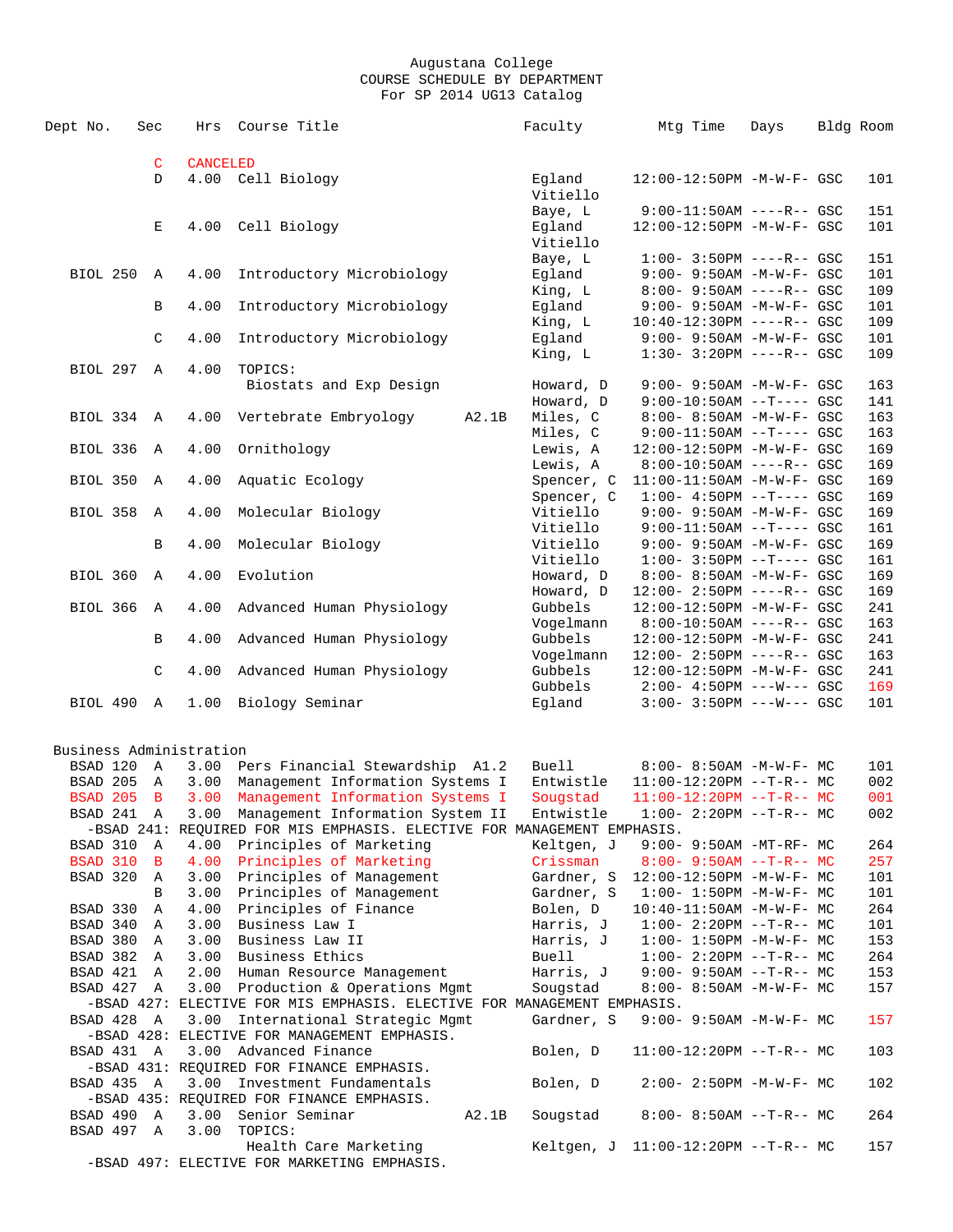| Dept No.                | Sec           | Hrs             | Course Title                                                                      |       | Faculty                             | Mtg Time | Days                                                             | Bldg Room  |
|-------------------------|---------------|-----------------|-----------------------------------------------------------------------------------|-------|-------------------------------------|----------|------------------------------------------------------------------|------------|
|                         |               |                 |                                                                                   |       |                                     |          |                                                                  |            |
|                         | $\mathsf C$   | <b>CANCELED</b> |                                                                                   |       |                                     |          |                                                                  |            |
|                         | D             |                 | 4.00 Cell Biology                                                                 |       | Eqland<br>Vitiello                  |          | 12:00-12:50PM -M-W-F- GSC                                        | 101        |
|                         |               |                 |                                                                                   |       | Baye, L                             |          | $9:00-11:50AM$ ----R-- GSC                                       | 151        |
|                         | E             | 4.00            | Cell Biology                                                                      |       | Eqland                              |          | 12:00-12:50PM -M-W-F- GSC                                        | 101        |
|                         |               |                 |                                                                                   |       | Vitiello                            |          |                                                                  |            |
|                         |               |                 |                                                                                   |       | Baye, L                             |          | $1:00 - 3:50PM$ ----R-- GSC                                      | 151        |
| <b>BIOL 250</b>         | Α             | 4.00            | Introductory Microbiology                                                         |       | Eqland                              |          | $9:00 - 9:50AM - M - W - F - GSC$                                | 101        |
|                         |               |                 |                                                                                   |       | King, L                             |          | $8:00 - 9:50AM$ ----R-- GSC                                      | 109        |
|                         | В             | 4.00            | Introductory Microbiology                                                         |       | Egland                              |          | 9:00- 9:50AM -M-W-F- GSC                                         | 101        |
|                         | $\mathsf C$   | 4.00            |                                                                                   |       | King, L                             |          | $10:40-12:30PM$ ----R-- GSC<br>$9:00 - 9:50AM - M - W - F - GSC$ | 109<br>101 |
|                         |               |                 | Introductory Microbiology                                                         |       | Egland<br>King, L                   |          | $1:30-3:20PM$ ----R-- GSC                                        | 109        |
| BIOL 297 A              |               | 4.00            | TOPICS:                                                                           |       |                                     |          |                                                                  |            |
|                         |               |                 | Biostats and Exp Design                                                           |       | Howard, D                           |          | 9:00- 9:50AM -M-W-F- GSC                                         | 163        |
|                         |               |                 |                                                                                   |       | Howard, D                           |          | $9:00-10:50AM$ --T---- GSC                                       | 141        |
| BIOL 334                | A             | 4.00            | Vertebrate Embryology                                                             | A2.1B | Miles, C                            |          | 8:00- 8:50AM -M-W-F- GSC                                         | 163        |
|                         |               |                 |                                                                                   |       | Miles, C                            |          | $9:00-11:50AM$ --T---- GSC                                       | 163        |
| BIOL 336                | Α             | 4.00            | Ornithology                                                                       |       | Lewis, A                            |          | 12:00-12:50PM -M-W-F- GSC                                        | 169        |
|                         |               |                 |                                                                                   |       | Lewis, A                            |          | $8:00-10:50AM$ ----R-- GSC                                       | 169        |
| BIOL 350                | Α             | 4.00            | Aquatic Ecology                                                                   |       | Spencer, C                          |          | 11:00-11:50AM -M-W-F- GSC                                        | 169        |
|                         |               |                 |                                                                                   |       | Spencer, C                          |          | $1:00-4:50PM --T---GSC$                                          | 169        |
| BIOL 358                | A             | 4.00            | Molecular Biology                                                                 |       | Vitiello                            |          | 9:00- 9:50AM -M-W-F- GSC                                         | 169        |
|                         |               |                 |                                                                                   |       | Vitiello                            |          | $9:00-11:50AM$ --T---- GSC                                       | 161        |
|                         | B             | 4.00            | Molecular Biology                                                                 |       | Vitiello                            |          | 9:00- 9:50AM -M-W-F- GSC                                         | 169        |
|                         |               |                 |                                                                                   |       | Vitiello                            |          | $1:00-3:50PM -T---GSC$                                           | 161        |
| BIOL 360                | $\mathbb{A}$  | 4.00            | Evolution                                                                         |       | Howard, D                           |          | 8:00- 8:50AM -M-W-F- GSC                                         | 169        |
|                         |               |                 |                                                                                   |       | Howard, D                           |          | $12:00 - 2:50PM$ ----R-- GSC                                     | 169        |
| <b>BIOL 366</b>         | Α             | 4.00            | Advanced Human Physiology                                                         |       | Gubbels                             |          | 12:00-12:50PM -M-W-F- GSC                                        | 241        |
|                         |               |                 |                                                                                   |       | Vogelmann                           |          | $8:00-10:50AM$ ----R-- GSC                                       | 163        |
|                         | В             | 4.00            | Advanced Human Physiology                                                         |       | Gubbels                             |          | 12:00-12:50PM -M-W-F- GSC                                        | 241        |
|                         | $\mathcal{C}$ | 4.00            | Advanced Human Physiology                                                         |       | Vogelmann<br>Gubbels                |          | 12:00- 2:50PM ----R-- GSC<br>12:00-12:50PM -M-W-F- GSC           | 163<br>241 |
|                         |               |                 |                                                                                   |       | Gubbels                             |          | $2:00-4:50PM$ ---W--- GSC                                        | 169        |
| BIOL 490 A              |               | 1.00            | Biology Seminar                                                                   |       | Egland                              |          | $3:00 - 3:50PM$ ---W--- GSC                                      | 101        |
|                         |               |                 |                                                                                   |       |                                     |          |                                                                  |            |
| Business Administration |               |                 |                                                                                   |       |                                     |          |                                                                  |            |
| BSAD 120                | A             | 3.00            | Pers Financial Stewardship A1.2                                                   |       | <b>Buell</b>                        |          | $8:00 - 8:50AM$ -M-W-F- MC                                       | 101        |
| BSAD 205                | A             | 3.00            | Management Information Systems I                                                  |       | Entwistle                           |          | $11:00-12:20PM$ --T-R-- MC                                       | 002        |
| <b>BSAD 205</b>         | $\mathbf B$   | 3.00            | Management Information Systems I                                                  |       | Sougstad                            |          | $11:00-12:20PM$ --T-R-- MC                                       | 001        |
| BSAD 241 A              |               | 3.00            | Management Information System II                                                  |       | Entwistle                           |          | $1:00-2:20PM --T-R--MC$                                          | 002        |
|                         |               |                 | -BSAD 241: REQUIRED FOR MIS EMPHASIS. ELECTIVE FOR MANAGEMENT EMPHASIS.           |       |                                     |          |                                                                  |            |
| BSAD 310 A              |               |                 | 4.00 Principles of Marketing                                                      |       | Keltgen, J                          |          | 9:00- 9:50AM -MT-RF- MC                                          | 264        |
| BSAD 310 B              |               |                 | 4.00 Principles of Marketing                                                      |       | Crissman                            |          | $8:00 - 9:50AM -T-R-- MC$                                        | 257        |
| BSAD 320                | A             | 3.00            | Principles of Management                                                          |       | Gardner, S 12:00-12:50PM -M-W-F- MC |          |                                                                  | 101        |
|                         | В             |                 | 3.00 Principles of Management                                                     |       | Gardner, S 1:00- 1:50PM -M-W-F- MC  |          |                                                                  | 101        |
| BSAD 330 A              |               |                 | 4.00 Principles of Finance                                                        |       | Bolen, D                            |          | $10:40-11:50AM$ -M-W-F- MC                                       | 264        |
| BSAD 340 A              |               | 3.00            | Business Law I                                                                    |       | Harris, J                           |          | $1:00-2:20PM -T-R--MC$                                           | 101        |
| BSAD 380 A              |               | 3.00            | Business Law II                                                                   |       | Harris, J                           |          | $1:00-1:50PM -M-W-F-MC$                                          | 153        |
| BSAD 382 A              |               |                 | 3.00 Business Ethics                                                              |       | Buell                               |          | $1:00-2:20PM -T-R--MC$                                           | 264        |
| BSAD 421 A              |               | 2.00            | Human Resource Management                                                         |       | Harris, J                           |          | $9:00 - 9:50AM -T-R--MC$                                         | 153        |
| BSAD 427 A              |               |                 | 3.00 Production & Operations Mgmt                                                 |       | Sougstad                            |          | $8:00 - 8:50AM - M - W - F - MC$                                 | 157        |
|                         |               |                 | -BSAD 427: ELECTIVE FOR MIS EMPHASIS. ELECTIVE FOR MANAGEMENT EMPHASIS.           |       |                                     |          |                                                                  |            |
| BSAD 428 A              |               |                 | 3.00 International Strategic Mgmt<br>-BSAD 428: ELECTIVE FOR MANAGEMENT EMPHASIS. |       | Gardner, S                          |          | $9:00 - 9:50AM - M - W - F - MC$                                 | 157        |
|                         |               |                 |                                                                                   |       |                                     |          |                                                                  |            |
| BSAD 431 A              |               |                 | 3.00 Advanced Finance<br>-BSAD 431: REQUIRED FOR FINANCE EMPHASIS.                |       | Bolen, D                            |          | $11:00-12:20PM$ --T-R-- MC                                       | 103        |
| BSAD 435 A              |               | 3.00            | Investment Fundamentals                                                           |       | Bolen, D                            |          | $2:00 - 2:50PM -M-W-F - MC$                                      | 102        |
|                         |               |                 | -BSAD 435: REQUIRED FOR FINANCE EMPHASIS.                                         |       |                                     |          |                                                                  |            |
| BSAD 490 A              |               | 3.00            | Senior Seminar                                                                    | A2.1B | Sougstad                            |          | $8:00 - 8:50AM -T-R-- MC$                                        | 264        |
| BSAD 497 A              |               | 3.00            | TOPICS:                                                                           |       |                                     |          |                                                                  |            |
|                         |               |                 | Health Care Marketing                                                             |       | Keltgen, J $11:00-12:20PM -T-R--MC$ |          |                                                                  | 157        |
|                         |               |                 | -BSAD 497: ELECTIVE FOR MARKETING EMPHASIS.                                       |       |                                     |          |                                                                  |            |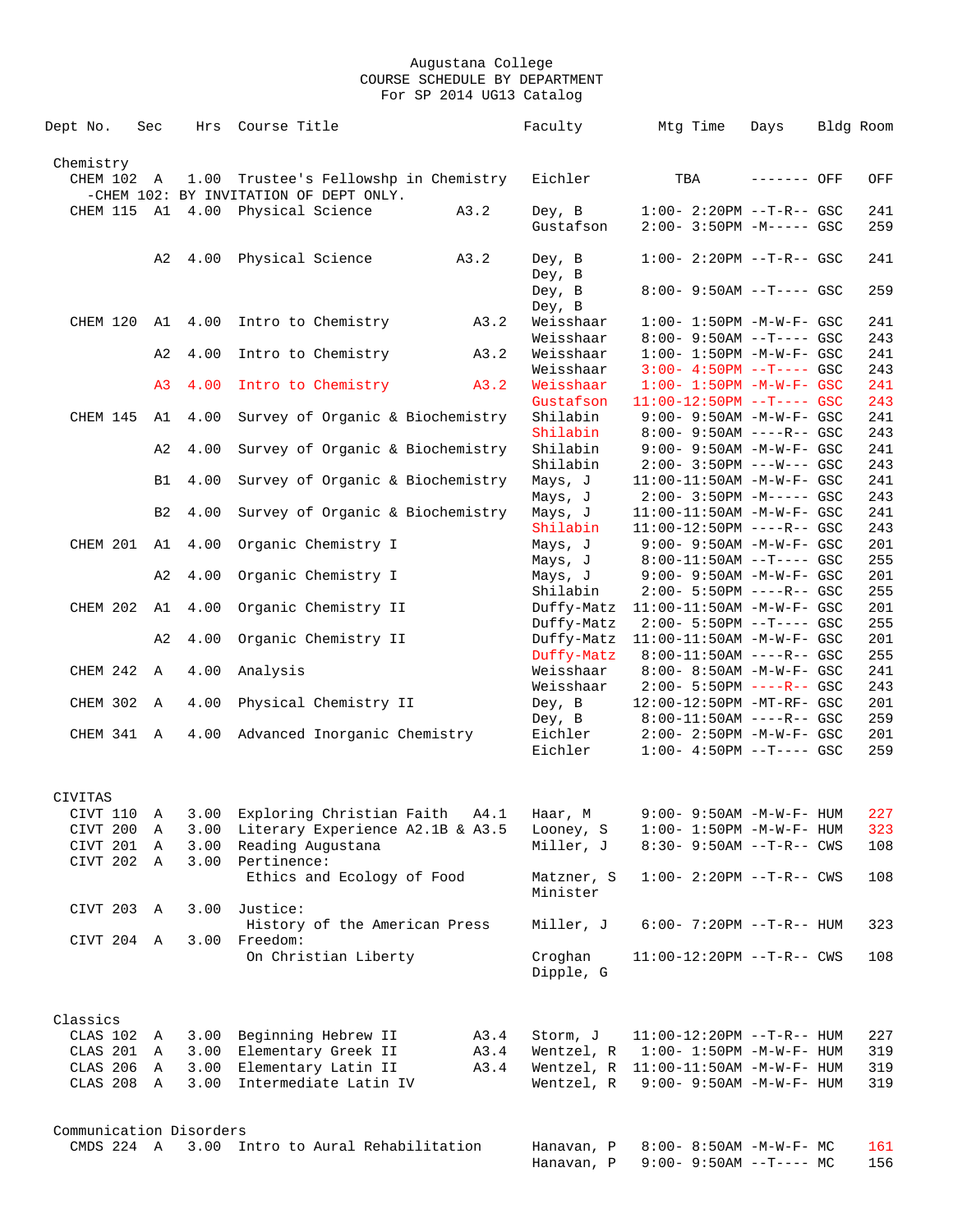| Dept No.                | Sec            | Hrs     | Course Title                                                                    |      | Faculty                  | Mtg Time                                                         | Days        | Bldg Room  |
|-------------------------|----------------|---------|---------------------------------------------------------------------------------|------|--------------------------|------------------------------------------------------------------|-------------|------------|
|                         |                |         |                                                                                 |      |                          |                                                                  |             |            |
| Chemistry<br>CHEM 102 A |                |         | 1.00 Trustee's Fellowshp in Chemistry<br>-CHEM 102: BY INVITATION OF DEPT ONLY. |      | Eichler                  | TBA                                                              | ------- OFF | OFF        |
|                         |                |         | CHEM 115 A1 4.00 Physical Science                                               | A3.2 | Dey, B                   | $1:00-2:20PM -T-R--GSC$                                          |             | 241        |
|                         |                |         |                                                                                 |      | Gustafson                | $2:00-3:50PM -M---GSC$                                           |             | 259        |
|                         | A2             | 4.00    | Physical Science                                                                | A3.2 | Dey, B<br>Dey, B         | $1:00 - 2:20PM -T-R--GSC$                                        |             | 241        |
|                         |                |         |                                                                                 |      | Dey, B<br>Dey, B         | $8:00 - 9:50AM -T--- GSC$                                        |             | 259        |
| CHEM 120                |                | A1 4.00 | Intro to Chemistry                                                              | A3.2 | Weisshaar                | $1:00 - 1:50PM - M - W - F - GSC$                                |             | 241        |
|                         | A2             | 4.00    | Intro to Chemistry                                                              | A3.2 | Weisshaar<br>Weisshaar   | $8:00 - 9:50AM -T--- GSC$<br>$1:00 - 1:50PM - M - W - F - GSC$   |             | 243<br>241 |
|                         |                |         |                                                                                 |      | Weisshaar                | $3:00-4:50PM$ --T---- GSC                                        |             | 243        |
|                         | A <sub>3</sub> | 4.00    | Intro to Chemistry                                                              | A3.2 | Weisshaar<br>Gustafson   | $1:00 - 1:50PM - M - W - F - GSC$<br>$11:00-12:50PM$ --T---- GSC |             | 241<br>243 |
| CHEM 145 A1             |                | 4.00    | Survey of Organic & Biochemistry                                                |      | Shilabin<br>Shilabin     | $9:00 - 9:50AM - M - W - F - GSC$<br>$8:00 - 9:50AM$ ----R-- GSC |             | 241<br>243 |
|                         | A2             | 4.00    | Survey of Organic & Biochemistry                                                |      | Shilabin                 | $9:00 - 9:50AM - M - W - F - GSC$                                |             | 241        |
|                         | B1             | 4.00    | Survey of Organic & Biochemistry                                                |      | Shilabin<br>Mays, J      | $2:00 - 3:50PM$ ---W--- GSC<br>11:00-11:50AM -M-W-F- GSC         |             | 243<br>241 |
|                         |                |         |                                                                                 |      | Mays, J                  | $2:00 - 3:50PM -M--- GSC$                                        |             | 243        |
|                         | B <sub>2</sub> | 4.00    | Survey of Organic & Biochemistry                                                |      | Mays, J<br>Shilabin      | 11:00-11:50AM -M-W-F- GSC<br>$11:00-12:50PM$ ----R-- GSC         |             | 241<br>243 |
| CHEM 201 A1             |                | 4.00    | Organic Chemistry I                                                             |      | Mays, J                  | $9:00 - 9:50AM - M - W - F - GSC$                                |             | 201        |
|                         | A2             | 4.00    | Organic Chemistry I                                                             |      | Mays, J<br>Mays, J       | $8:00-11:50AM$ --T---- GSC<br>9:00- 9:50AM -M-W-F- GSC           |             | 255<br>201 |
|                         |                |         |                                                                                 |      | Shilabin                 | $2:00 - 5:50PM$ ----R-- GSC                                      |             | 255        |
| CHEM 202                | A1             | 4.00    | Organic Chemistry II                                                            |      | Duffy-Matz<br>Duffy-Matz | $11:00-11:50AM$ -M-W-F- GSC<br>$2:00 - 5:50PM -T--- GSC$         |             | 201<br>255 |
|                         | A2             | 4.00    | Organic Chemistry II                                                            |      | Duffy-Matz               | 11:00-11:50AM -M-W-F- GSC                                        |             | 201        |
| CHEM 242 A              |                | 4.00    | Analysis                                                                        |      | Duffy-Matz<br>Weisshaar  | $8:00-11:50AM$ ----R-- GSC<br>8:00- 8:50AM -M-W-F- GSC           |             | 255<br>241 |
|                         |                |         |                                                                                 |      | Weisshaar                | $2:00 - 5:50PM$ ----R-- GSC                                      |             | 243        |
| CHEM 302                | A              | 4.00    | Physical Chemistry II                                                           |      | Dey, B<br>Dey, B         | 12:00-12:50PM -MT-RF- GSC<br>$8:00-11:50AM$ ----R-- GSC          |             | 201<br>259 |
| CHEM 341 A              |                | 4.00    | Advanced Inorganic Chemistry                                                    |      | Eichler<br>Eichler       | 2:00- 2:50PM -M-W-F- GSC<br>$1:00-4:50PM --T---GSC$              |             | 201<br>259 |
| CIVITAS                 |                |         |                                                                                 |      |                          |                                                                  |             |            |
| CIVT 110                | Α              | 3.00    | Exploring Christian Faith                                                       | A4.1 | Haar, M                  | $9:00 - 9:50AM - M - W - F - HUM$                                |             | 227        |
| CIVT 200                | A              | 3.00    | Literary Experience A2.1B & A3.5                                                |      | Looney, S                | $1:00 - 1:50PM -M-W-F - HUM$                                     |             | 323        |
| CIVT 201                | $\mathbb A$    | 3.00    | Reading Augustana                                                               |      | Miller, J                | $8:30 - 9:50AM$ --T-R-- CWS                                      |             | 108        |
| CIVT 202 A              |                | 3.00    | Pertinence:<br>Ethics and Ecology of Food                                       |      | Matzner, S               | $1:00 - 2:20PM -T-R--CWS$                                        |             | 108        |
| CIVT 203 A              |                | 3.00    | Justice:                                                                        |      | Minister                 |                                                                  |             |            |
|                         |                |         | History of the American Press                                                   |      | Miller, J                | $6:00 - 7:20PM -T-R-- HUM$                                       |             | 323        |
| CIVT 204 A              |                |         | 3.00 Freedom:<br>On Christian Liberty                                           |      | Croghan<br>Dipple, G     | $11:00-12:20PM$ --T-R-- CWS                                      |             | 108        |
|                         |                |         |                                                                                 |      |                          |                                                                  |             |            |
| Classics                |                |         |                                                                                 |      |                          |                                                                  |             |            |
| CLAS 102                | A              |         | 3.00 Beginning Hebrew II                                                        | A3.4 | Storm, J                 | $11:00-12:20PM -T-R--HUM$                                        |             | 227        |
| CLAS 201                | A              |         | 3.00 Elementary Greek II                                                        | A3.4 | Wentzel, R               | $1:00 - 1:50PM - M - W - F - HUM$                                |             | 319        |
| CLAS 206                | A              | 3.00    | Elementary Latin II                                                             | A3.4 |                          | Wentzel, R 11:00-11:50AM -M-W-F- HUM                             |             | 319        |
| CLAS 208 A              |                | 3.00    | Intermediate Latin IV                                                           |      | Wentzel, R               | $9:00 - 9:50AM - M - W - F - HUM$                                |             | 319        |
|                         |                |         |                                                                                 |      |                          |                                                                  |             |            |
| Communication Disorders |                |         |                                                                                 |      |                          |                                                                  |             |            |
|                         |                |         | CMDS 224 A 3.00 Intro to Aural Rehabilitation                                   |      | Hanavan, P<br>Hanavan, P | $8:00 - 8:50AM - M - W - F - MC$<br>9:00- 9:50AM --T---- MC      |             | 161<br>156 |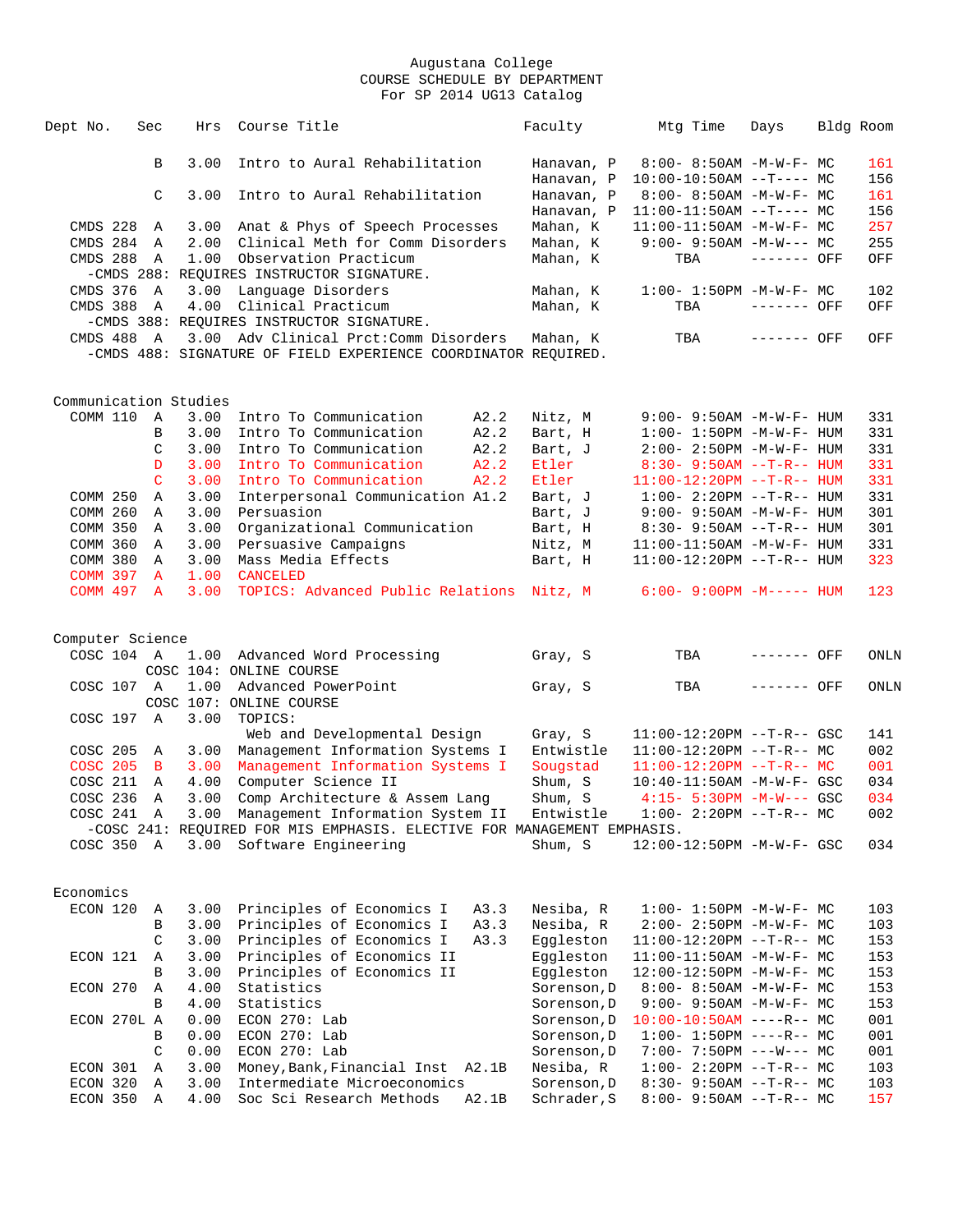| Dept No.              | Sec           | Hrs  | Course Title                                                            | Faculty     | Mtg Time                          | Days        | Bldg Room |
|-----------------------|---------------|------|-------------------------------------------------------------------------|-------------|-----------------------------------|-------------|-----------|
|                       |               |      |                                                                         |             |                                   |             |           |
|                       | B             | 3.00 | Intro to Aural Rehabilitation                                           | Hanavan, P  | $8:00 - 8:50AM - M - W - F - MC$  |             | 161       |
|                       |               |      |                                                                         | Hanavan, P  | $10:00-10:50AM$ --T---- MC        |             | 156       |
|                       | C             | 3.00 | Intro to Aural Rehabilitation                                           | Hanavan, P  | $8:00 - 8:50AM - M - W - F - MC$  |             | 161       |
|                       |               |      |                                                                         | Hanavan, P  | $11:00-11:50AM$ --T---- MC        |             | 156       |
| CMDS 228              | Α             | 3.00 | Anat & Phys of Speech Processes                                         | Mahan, K    | $11:00-11:50AM$ -M-W-F- MC        |             | 257       |
| CMDS 284              | A             | 2.00 | Clinical Meth for Comm Disorders                                        | Mahan, K    | $9:00 - 9:50AM - M-W--- MC$       |             | 255       |
| CMDS 288              | A             | 1.00 | Observation Practicum                                                   | Mahan, K    | TBA                               | ------- OFF | OFF       |
|                       |               |      | -CMDS 288: REOUIRES INSTRUCTOR SIGNATURE.                               |             |                                   |             |           |
| CMDS 376              | A             | 3.00 | Language Disorders                                                      | Mahan, K    | $1:00 - 1:50PM - M - W - F - MC$  |             | 102       |
| CMDS 388              | A             | 4.00 | Clinical Practicum                                                      | Mahan, K    | TBA                               | ------- OFF | OFF       |
|                       |               |      | -CMDS 388: REQUIRES INSTRUCTOR SIGNATURE.                               |             |                                   |             |           |
| CMDS 488 A            |               |      | 3.00 Adv Clinical Prct: Comm Disorders                                  | Mahan, K    | TBA                               | ------- OFF | OFF       |
|                       |               |      | -CMDS 488: SIGNATURE OF FIELD EXPERIENCE COORDINATOR REQUIRED.          |             |                                   |             |           |
|                       |               |      |                                                                         |             |                                   |             |           |
| Communication Studies |               |      |                                                                         |             |                                   |             |           |
| COMM 110              | A             | 3.00 | Intro To Communication<br>A2.2                                          | Nitz, M     | $9:00 - 9:50AM - M - W - F - HUM$ |             | 331       |
|                       | В             | 3.00 | Intro To Communication<br>A2.2                                          | Bart, H     | $1:00 - 1:50PM - M - W - F - HUM$ |             | 331       |
|                       | $\mathcal{C}$ | 3.00 | A2.2<br>Intro To Communication                                          | Bart, J     | 2:00- 2:50PM -M-W-F- HUM          |             | 331       |
|                       | D             | 3.00 | Intro To Communication<br>A2.2                                          | Etler       | $8:30 - 9:50AM$ --T-R-- HUM       |             | 331       |
|                       | $\mathsf{C}$  | 3.00 | Intro To Communication<br>A2.2                                          | Etler       | $11:00-12:20PM$ --T-R-- HUM       |             | 331       |
| COMM 250              | Α             | 3.00 | Interpersonal Communication A1.2                                        | Bart, J     | $1:00 - 2:20PM -T-R--HUM$         |             | 331       |
| COMM 260              | Α             | 3.00 | Persuasion                                                              | Bart, J     | $9:00 - 9:50AM - M - W - F - HUM$ |             | 301       |
| COMM 350              | A             | 3.00 | Organizational Communication                                            | Bart, H     | $8:30 - 9:50AM -T-R-- HUM$        |             | 301       |
| COMM 360              | Α             | 3.00 | Persuasive Campaigns                                                    | Nitz, M     | 11:00-11:50AM -M-W-F- HUM         |             | 331       |
| COMM 380              | Α             | 3.00 | Mass Media Effects                                                      | Bart, H     | $11:00-12:20PM$ --T-R-- HUM       |             | 323       |
| <b>COMM 397</b>       | $\mathbf{A}$  | 1.00 | <b>CANCELED</b>                                                         |             |                                   |             |           |
| <b>COMM 497</b>       | $\mathbf{A}$  | 3.00 | TOPICS: Advanced Public Relations Nitz, M                               |             | $6:00 - 9:00PM -M-----$ HUM       |             | 123       |
|                       |               |      |                                                                         |             |                                   |             |           |
| Computer Science      |               |      |                                                                         |             |                                   | ------- OFF |           |
| COSC 104 A            |               | 1.00 | Advanced Word Processing                                                | Gray, S     | TBA                               |             | ONLN      |
|                       |               |      | COSC 104: ONLINE COURSE<br>Advanced PowerPoint                          |             |                                   |             |           |
| COSC 107 A            |               | 1.00 |                                                                         | Gray, S     | TBA                               | ------- OFF | ONLN      |
|                       |               |      | COSC 107: ONLINE COURSE                                                 |             |                                   |             |           |
| COSC 197 A            |               | 3.00 | TOPICS:                                                                 |             |                                   |             |           |
|                       |               |      | Web and Developmental Design                                            | Gray, S     | $11:00-12:20PM$ --T-R-- GSC       |             | 141       |
| COSC 205              | A             | 3.00 | Management Information Systems I                                        | Entwistle   | $11:00-12:20PM$ --T-R-- MC        |             | 002       |
| <b>COSC 205</b>       | $\mathbf{B}$  | 3.00 | Management Information Systems I                                        | Sougstad    | $11:00-12:20PM$ --T-R-- MC        |             | 001       |
| COSC 211              | A             | 4.00 | Computer Science II                                                     | Shum, S     | 10:40-11:50AM -M-W-F- GSC         |             | 034       |
| COSC 236              | Α             | 3.00 | Comp Architecture & Assem Lang                                          | Shum, S     | $4:15 - 5:30PM - M-W--- GSC$      |             | 034       |
| COSC 241 A            |               | 3.00 | Management Information System II                                        | Entwistle   | 1:00- 2:20PM --T-R-- MC           |             | 002       |
|                       |               |      | -COSC 241: REQUIRED FOR MIS EMPHASIS. ELECTIVE FOR MANAGEMENT EMPHASIS. |             |                                   |             |           |
| COSC 350 A            |               |      | 3.00 Software Engineering                                               | Shum, S     | 12:00-12:50PM -M-W-F- GSC         |             | 034       |
|                       |               |      |                                                                         |             |                                   |             |           |
| Economics             |               |      |                                                                         |             |                                   |             |           |
| ECON 120              | Α             | 3.00 | Principles of Economics I<br>A3.3                                       | Nesiba, R   | $1:00 - 1:50PM -M-W-F-MC$         |             | 103       |
|                       | В             | 3.00 | Principles of Economics I<br>A3.3                                       | Nesiba, R   | 2:00- 2:50PM -M-W-F- MC           |             | 103       |
|                       | $\mathsf C$   | 3.00 | Principles of Economics I<br>A3.3                                       | Eggleston   | $11:00-12:20PM$ --T-R-- MC        |             | 153       |
| ECON 121              | Α             | 3.00 | Principles of Economics II                                              | Eggleston   | $11:00-11:50AM$ -M-W-F- MC        |             | 153       |
|                       | В             | 3.00 | Principles of Economics II                                              | Eggleston   | 12:00-12:50PM -M-W-F- MC          |             | 153       |
| ECON 270              | Α             | 4.00 | Statistics                                                              | Sorenson, D | $8:00 - 8:50AM - M - W - F - MC$  |             | 153       |
|                       | B             | 4.00 | Statistics                                                              | Sorenson, D | $9:00 - 9:50AM - M-W-F - MC$      |             | 153       |
| ECON 270L A           |               | 0.00 | ECON 270: Lab                                                           | Sorenson, D | $10:00-10:50AM$ ----R-- MC        |             | 001       |
|                       | В             | 0.00 | ECON 270: Lab                                                           | Sorenson, D | $1:00-1:50PM$ ----R-- MC          |             | 001       |
|                       | C             | 0.00 | ECON 270: Lab                                                           | Sorenson, D | $7:00 - 7:50PM$ ---W--- MC        |             | 001       |
| ECON 301              | Α             | 3.00 | Money, Bank, Financial Inst A2.1B                                       | Nesiba, R   | $1:00-2:20PM -T-R--MC$            |             | 103       |
| ECON 320              | Α             | 3.00 | Intermediate Microeconomics                                             | Sorenson, D | $8:30 - 9:50AM -T-R-- MC$         |             | 103       |
| ECON 350              | Α             | 4.00 | Soc Sci Research Methods<br>A2.1B                                       | Schrader, S | $8:00-9:50AM -T-R--MC$            |             | 157       |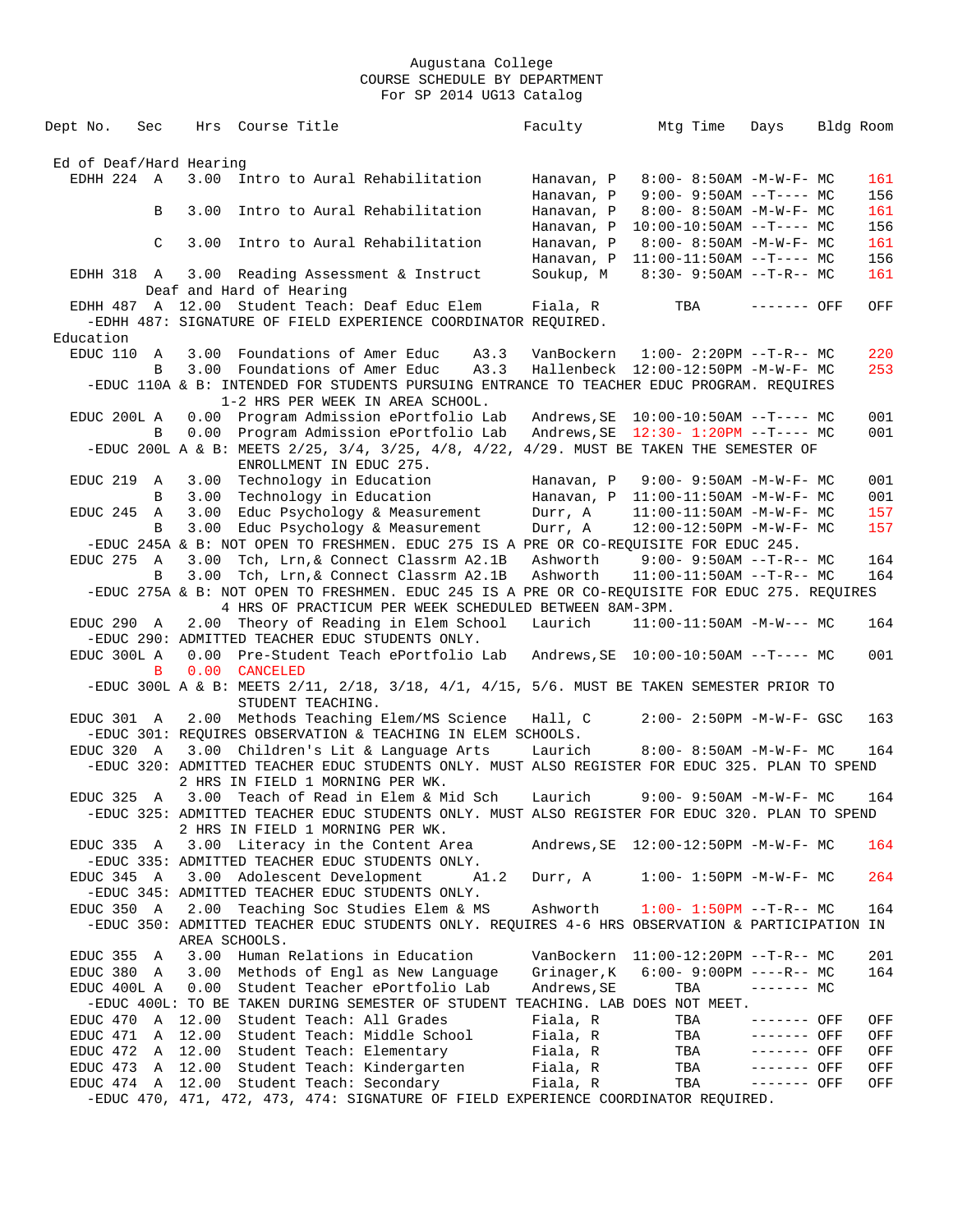Dept No. Sec Hrs Course Title Faculty Mtg Time Days Bldg Room Ed of Deaf/Hard Hearing EDHH 224 A 3.00 Intro to Aural Rehabilitation Hanavan, P 8:00- 8:50AM -M-W-F- MC 161 Hanavan, P 9:00- 9:50AM --T---- MC 156<br>B 3.00 Intro to Aural Rehabilitation Hanavan, P 8:00- 8:50AM -M-W-F- MC 161 B 3.00 Intro to Aural Rehabilitation Hanavan, P 8:00- 8:50AM -M-W-F- MC 161 Hanavan, P 10:00-10:50AM --T---- MC 156<br>C 3.00 Intro to Aural Rehabilitation Hanavan, P 8:00-8:50AM -M-W-F- MC 161 Hanavan, P 8:00-8:50AM -M-W-F- MC 161<br>Hanavan, P 11:00-11:50AM --T---- MC 156 Hanavan, P 11:00-11:50AM --T---- MC 156<br>Soukup, M 8:30- 9:50AM --T-R-- MC 161 EDHH 318 A  $3.00$  Reading Assessment & Instruct Deaf and Hard of Hearing EDHH 487 A 12.00 Student Teach: Deaf Educ Elem Fiala, R TBA ------- OFF OFF -EDHH 487: SIGNATURE OF FIELD EXPERIENCE COORDINATOR REQUIRED. Education<br>EDUC 110 A EDUC 110 A 3.00 Foundations of Amer Educ A3.3 VanBockern 1:00- 2:20PM --T-R-- MC 220 B 3.00 Foundations of Amer Educ A3.3 Hallenbeck 12:00-12:50PM -M-W-F- MC 253 -EDUC 110A & B: INTENDED FOR STUDENTS PURSUING ENTRANCE TO TEACHER EDUC PROGRAM. REQUIRES 1-2 HRS PER WEEK IN AREA SCHOOL.<br>EDUC 200L A 0.00 Program Admission ePortfolio La 0.00 Program Admission ePortfolio Lab Andrews,SE 10:00-10:50AM --T---- MC 001<br>0.00 Program Admission ePortfolio Lab Andrews.SE 12:30-1:20PM --T---- MC 001 B 0.00 Program Admission ePortfolio Lab Andrews, SE 12:30- 1:20PM --T---- MC -EDUC 200L A & B: MEETS 2/25, 3/4, 3/25, 4/8, 4/22, 4/29. MUST BE TAKEN THE SEMESTER OF ENROLLMENT IN EDUC 275. EDUC 219 A 3.00 Technology in Education Hanavan, P 9:00-9:50AM -M-W-F- MC 001<br>B 3.00 Technology in Education Hanavan, P 11:00-11:50AM -M-W-F- MC 001 Hanavan, P 11:00-11:50AM -M-W-F- MC 001<br>Durr, A 11:00-11:50AM -M-W-F- MC 157 EDUC 245 A 3.00 Educ Psychology & Measurement Durr, A 11:00-11:50AM -M-W-F- MC 157 B 3.00 Educ Psychology & Measurement Durr, A 12:00-12:50PM -M-W-F- MC 157 -EDUC 245A & B: NOT OPEN TO FRESHMEN. EDUC 275 IS A PRE OR CO-REQUISITE FOR EDUC 245. EDUC 275 A 3.00 Tch, Lrn,& Connect Classrm A2.1B Ashworth 9:00- 9:50AM --T-R-- MC 164 3.00 Tch, Lrn,& Connect Classrm A2.1B Ashworth -EDUC 275A & B: NOT OPEN TO FRESHMEN. EDUC 245 IS A PRE OR CO-REQUISITE FOR EDUC 275. REQUIRES 4 HRS OF PRACTICUM PER WEEK SCHEDULED BETWEEN 8AM-3PM.<br>EDUC 290 A 2.00 Theory of Reading in Elem School Laurich 11:00 2.00 Theory of Reading in Elem School Laurich 11:00-11:50AM -M-W--- MC 164 -EDUC 290: ADMITTED TEACHER EDUC STUDENTS ONLY. EDUC 300L A 0.00 Pre-Student Teach ePortfolio Lab Andrews,SE 10:00-10:50AM --T---- MC 001 B 0.00 CANCELED -EDUC 300L A & B: MEETS 2/11, 2/18, 3/18, 4/1, 4/15, 5/6. MUST BE TAKEN SEMESTER PRIOR TO STUDENT TEACHING. EDUC 301 A 2.00 Methods Teaching Elem/MS Science Hall, C 2:00- 2:50PM -M-W-F- GSC 163 -EDUC 301: REQUIRES OBSERVATION & TEACHING IN ELEM SCHOOLS. EDUC 320 A 3.00 Children's Lit & Language Arts Laurich 8:00- 8:50AM -M-W-F- MC 164 -EDUC 320: ADMITTED TEACHER EDUC STUDENTS ONLY. MUST ALSO REGISTER FOR EDUC 325. PLAN TO SPEND 2 HRS IN FIELD 1 MORNING PER WK. EDUC 325 A 3.00 Teach of Read in Elem & Mid Sch Laurich 9:00- 9:50AM -M-W-F- MC 164 -EDUC 325: ADMITTED TEACHER EDUC STUDENTS ONLY. MUST ALSO REGISTER FOR EDUC 320. PLAN TO SPEND 2 HRS IN FIELD 1 MORNING PER WK.<br>EDUC 335 A 3.00 Literacy in the Content Area Andrews, SE 12:00-12:50PM -M-W-F- MC 164 -EDUC 335: ADMITTED TEACHER EDUC STUDENTS ONLY. EDUC 345 A 3.00 Adolescent Development A1.2 Durr, A 1:00- 1:50PM -M-W-F- MC 264 -EDUC 345: ADMITTED TEACHER EDUC STUDENTS ONLY. EDUC 350 A 2.00 Teaching Soc Studies Elem & MS Ashworth 1:00- 1:50PM --T-R-- MC 164 -EDUC 350: ADMITTED TEACHER EDUC STUDENTS ONLY. REQUIRES 4-6 HRS OBSERVATION & PARTICIPATION IN AREA SCHOOLS. EDUC 355 A  $3.00$  Human Relations in Education VanBockern  $11:00-12:20PM --T-R-- MC$  201 EDUC 380 A  $3.00$  Methods of Engl as New Language Grinager, K  $6:00-9:00PM$  ----R-- MC EDUC 400L A 0.00 Student Teacher ePortfolio Lab Andrews,SE TBA ------- MC -EDUC 400L: TO BE TAKEN DURING SEMESTER OF STUDENT TEACHING. LAB DOES NOT MEET. EDUC 470 A 12.00 Student Teach: All Grades Fiala, R TBA ------- OFF OFF EDUC 471 A 12.00 Student Teach: Middle School Fiala, R TBA ------- OFF OFF EDUC 472 A 12.00 Student Teach: Elementary Fiala, R TBA ------- OFF OFF EDUC 473 A 12.00 Student Teach: Kindergarten Fiala, R TBA ------- OFF OFF EDUC 474 A 12.00 Student Teach: Secondary Fiala, R TBA ------- OFF OFF -EDUC 470, 471, 472, 473, 474: SIGNATURE OF FIELD EXPERIENCE COORDINATOR REQUIRED.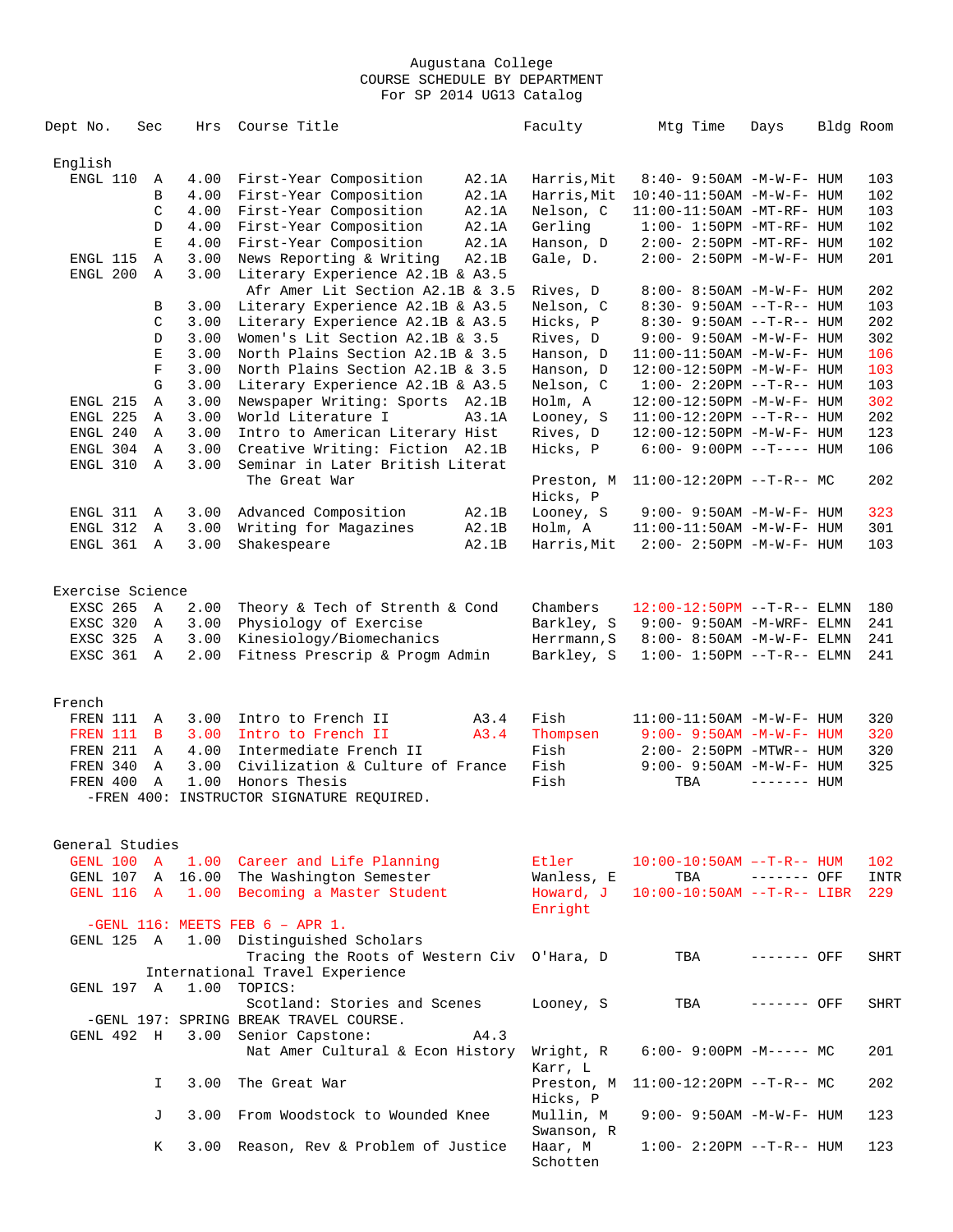| Dept No.         | Sec           | Hrs  | Course Title                               |       | Faculty                | Mtg Time                          | Days         | Bldg Room |             |
|------------------|---------------|------|--------------------------------------------|-------|------------------------|-----------------------------------|--------------|-----------|-------------|
| English          |               |      |                                            |       |                        |                                   |              |           |             |
| ENGL 110         | Α             | 4.00 | First-Year Composition                     | A2.1A | Harris, Mit            | 8:40- 9:50AM -M-W-F- HUM          |              |           | 103         |
|                  | $\, {\bf B}$  | 4.00 | First-Year Composition                     | A2.1A | Harris, Mit            | 10:40-11:50AM -M-W-F- HUM         |              |           | 102         |
|                  | C             | 4.00 | First-Year Composition                     | A2.1A | Nelson, C              | 11:00-11:50AM -MT-RF- HUM         |              |           | 103         |
|                  | D             | 4.00 | First-Year Composition                     | A2.1A | Gerling                | $1:00-1:50PM -MT-RF-HUM$          |              |           | 102         |
|                  | $\mathbf E$   | 4.00 | First-Year Composition                     | A2.1A | Hanson, D              | $2:00-2:50PM -MT-RF-HUM$          |              |           | 102         |
| ENGL 115         | Α             | 3.00 | News Reporting & Writing                   | A2.1B | Gale, D.               | 2:00- 2:50PM -M-W-F- HUM          |              |           | 201         |
| ENGL 200         | $\mathbb{A}$  | 3.00 | Literary Experience A2.1B & A3.5           |       |                        |                                   |              |           |             |
|                  |               |      | Afr Amer Lit Section A2.1B & 3.5           |       | Rives, D               | 8:00- 8:50AM -M-W-F- HUM          |              |           | 202         |
|                  | В             | 3.00 | Literary Experience A2.1B & A3.5           |       | Nelson, C              | $8:30 - 9:50AM -T-R--HUM$         |              |           | 103         |
|                  | C             | 3.00 | Literary Experience A2.1B & A3.5           |       | Hicks, P               | 8:30- 9:50AM --T-R-- HUM          |              |           | 202         |
|                  | D             | 3.00 | Women's Lit Section A2.1B & 3.5            |       | Rives, D               | $9:00 - 9:50AM - M - W - F - HUM$ |              |           | 302         |
|                  | $\mathbf E$   | 3.00 | North Plains Section A2.1B & 3.5           |       | Hanson, D              | 11:00-11:50AM -M-W-F- HUM         |              |           | 106         |
|                  | $\mathbf F$   | 3.00 | North Plains Section A2.1B & 3.5           |       | Hanson, D              | 12:00-12:50PM -M-W-F- HUM         |              |           | 103         |
|                  | ${\mathsf G}$ | 3.00 | Literary Experience A2.1B & A3.5           |       | Nelson, C              | $1:00 - 2:20PM -T-R--HUM$         |              |           | 103         |
| ENGL 215         | Α             | 3.00 | Newspaper Writing: Sports A2.1B            |       | Holm, A                | 12:00-12:50PM -M-W-F- HUM         |              |           | 302         |
| ENGL 225         | Α             | 3.00 | World Literature I                         | A3.1A | Looney, S              | $11:00-12:20PM$ --T-R-- HUM       |              |           | 202         |
| ENGL 240         | Α             | 3.00 | Intro to American Literary Hist            |       | Rives, D               | 12:00-12:50PM -M-W-F- HUM         |              |           | 123         |
| ENGL 304         | Α             | 3.00 | Creative Writing: Fiction A2.1B            |       | Hicks, P               | $6:00 - 9:00PM$ --T---- HUM       |              |           | 106         |
| ENGL 310         | $\mathbb{A}$  | 3.00 | Seminar in Later British Literat           |       |                        |                                   |              |           |             |
|                  |               |      | The Great War                              |       | Preston, M<br>Hicks, P | $11:00-12:20PM$ --T-R-- MC        |              |           | 202         |
| ENGL 311         | Α             | 3.00 | Advanced Composition                       | A2.1B | Looney, S              | 9:00- 9:50AM -M-W-F- HUM          |              |           | 323         |
| ENGL 312         | Α             | 3.00 | Writing for Magazines                      | A2.1B | Holm, A                | 11:00-11:50AM -M-W-F- HUM         |              |           | 301         |
| ENGL 361         | $\mathbb A$   | 3.00 | Shakespeare                                | A2.1B | Harris, Mit            | $2:00 - 2:50PM -M-W-F- HUM$       |              |           | 103         |
|                  |               |      |                                            |       |                        |                                   |              |           |             |
| Exercise Science |               |      |                                            |       |                        |                                   |              |           |             |
| EXSC 265         | A             | 2.00 | Theory & Tech of Strenth & Cond            |       | Chambers               | $12:00-12:50PM$ --T-R-- ELMN      |              |           | 180         |
| EXSC 320         | Α             | 3.00 | Physiology of Exercise                     |       | Barkley, S             | $9:00-9:50AM$ -M-WRF- ELMN        |              |           | 241         |
| EXSC 325         | Α             | 3.00 | Kinesiology/Biomechanics                   |       | Herrmann, S            | 8:00- 8:50AM -M-W-F- ELMN         |              |           | 241         |
| EXSC 361         | $\mathbb{A}$  | 2.00 | Fitness Prescrip & Progm Admin             |       | Barkley, S             | $1:00 - 1:50PM -T-R-- ELMN$       |              |           | 241         |
|                  |               |      |                                            |       |                        |                                   |              |           |             |
| French           |               |      |                                            |       |                        |                                   |              |           |             |
| FREN 111         | A             | 3.00 | Intro to French II                         | A3.4  | Fish                   | $11:00-11:50AM$ -M-W-F- HUM       |              |           | 320         |
| FREN 111         | $\mathbf{B}$  | 3.00 | Intro to French II                         | A3.4  | Thompsen               | $9:00 - 9:50AM - M - W - F - HUM$ |              |           | 320         |
| FREN 211         | Α             | 4.00 | Intermediate French II                     |       | Fish                   | $2:00-2:50PM -MTWR--HUM$          |              |           | 320         |
| FREN 340         | Α             | 3.00 | Civilization & Culture of France           |       | Fish                   | 9:00- 9:50AM -M-W-F- HUM          |              |           | 325         |
| FREN 400         | Α             | 1.00 | Honors Thesis                              |       | Fish                   | TBA                               | $------$ HUM |           |             |
|                  |               |      | -FREN 400: INSTRUCTOR SIGNATURE REQUIRED.  |       |                        |                                   |              |           |             |
|                  |               |      |                                            |       |                        |                                   |              |           |             |
| General Studies  |               |      |                                            |       |                        |                                   |              |           |             |
|                  |               |      | GENL 100 A 1.00 Career and Life Planning   |       | Etler                  | $10:00-10:50AM$ --T-R-- HUM       |              |           | 102         |
|                  |               |      | GENL 107 A 16.00 The Washington Semester   |       | Wanless, E             | TBA                               | ------- OFF  |           | INTR        |
| GENL 116 A       |               |      | 1.00 Becoming a Master Student             |       | Howard, J              | $10:00-10:50AM$ --T-R-- LIBR      |              |           | 229         |
|                  |               |      |                                            |       | Enright                |                                   |              |           |             |
|                  |               |      | $-GENL$ 116: MEETS FEB 6 - APR 1.          |       |                        |                                   |              |           |             |
|                  |               |      | GENL 125 A 1.00 Distinguished Scholars     |       |                        |                                   |              |           |             |
|                  |               |      | Tracing the Roots of Western Civ O'Hara, D |       |                        | TBA                               | ------- OFF  |           | <b>SHRT</b> |
|                  |               |      | International Travel Experience            |       |                        |                                   |              |           |             |
| GENL 197 A       |               | 1.00 | TOPICS:                                    |       |                        |                                   |              |           |             |
|                  |               |      | Scotland: Stories and Scenes               |       | Looney, S              | TBA                               | ------- OFF  |           | <b>SHRT</b> |
|                  |               |      | -GENL 197: SPRING BREAK TRAVEL COURSE.     |       |                        |                                   |              |           |             |
| GENL 492 H       |               |      | 3.00 Senior Capstone:                      | A4.3  |                        |                                   |              |           |             |
|                  |               |      | Nat Amer Cultural & Econ History           |       | Wright, R              | $6:00-9:00PM -M--- MC$            |              |           | 201         |
|                  |               |      |                                            |       | Karr, L                |                                   |              |           |             |
|                  | I.            | 3.00 | The Great War                              |       | Preston, M             | $11:00-12:20PM$ --T-R-- MC        |              |           | 202         |
|                  |               |      |                                            |       | Hicks, P               |                                   |              |           |             |
|                  | J             | 3.00 | From Woodstock to Wounded Knee             |       | Mullin, M              | $9:00 - 9:50AM - M - W - F - HUM$ |              |           | 123         |
|                  |               |      |                                            |       | Swanson, R             |                                   |              |           |             |
|                  | К             |      | 3.00 Reason, Rev & Problem of Justice      |       | Haar, M                | $1:00 - 2:20PM -T-R--HUM$         |              |           | 123         |
|                  |               |      |                                            |       | Schotten               |                                   |              |           |             |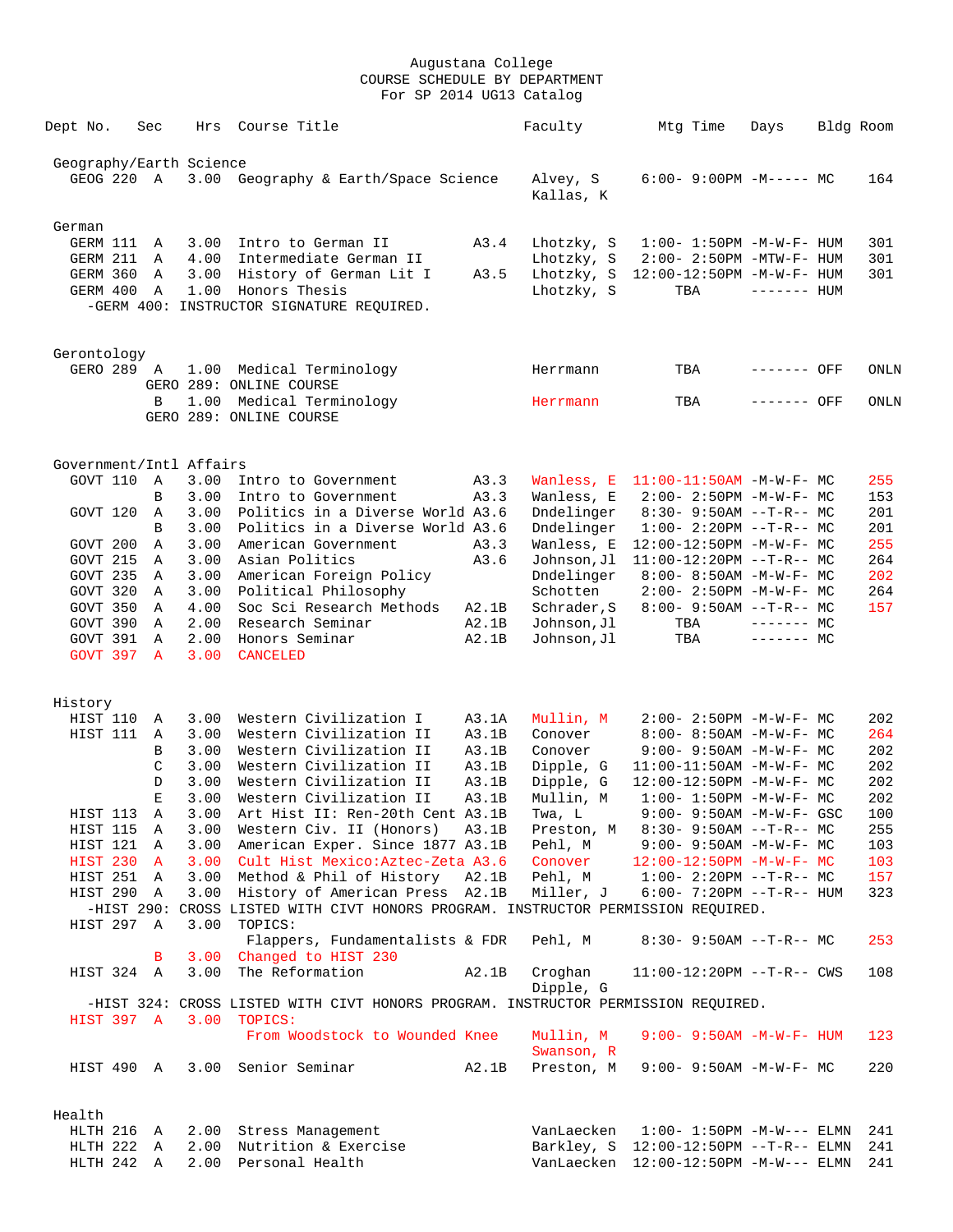| Dept No.                 | Sec          | Hrs          | Course Title                                                                      |              | Faculty                   | Mtg Time                                                      | Days         | Bldg Room  |
|--------------------------|--------------|--------------|-----------------------------------------------------------------------------------|--------------|---------------------------|---------------------------------------------------------------|--------------|------------|
| Geography/Earth Science  |              |              |                                                                                   |              |                           |                                                               |              |            |
| GEOG 220 A               |              |              | 3.00 Geography & Earth/Space Science                                              |              | Alvey, S<br>Kallas, K     | $6:00-9:00PM -M--- MC$                                        |              | 164        |
| German                   |              |              |                                                                                   |              |                           |                                                               |              |            |
| GERM 111                 | Α            | 3.00         | Intro to German II                                                                | A3.4         | Lhotzky, S                | $1:00 - 1:50PM - M - W - F - HUM$                             |              | 301        |
| GERM 211<br>GERM 360     | A<br>A       | 4.00<br>3.00 | Intermediate German II<br>History of German Lit I                                 | A3.5         | Lhotzky, S<br>Lhotzky, S  | $2:00 - 2:50PM - MTW - F - HUM$<br>12:00-12:50PM -M-W-F- HUM  |              | 301<br>301 |
| GERM 400                 | $\mathbb{A}$ | 1.00         | Honors Thesis<br>-GERM 400: INSTRUCTOR SIGNATURE REQUIRED.                        |              | Lhotzky, S                | TBA                                                           | $------$ HUM |            |
|                          |              |              |                                                                                   |              |                           |                                                               |              |            |
| Gerontology              |              |              |                                                                                   |              |                           |                                                               |              |            |
| GERO 289 A               |              |              | 1.00 Medical Terminology<br>GERO 289: ONLINE COURSE                               |              | Herrmann                  | TBA                                                           | ------- OFF  | ONLN       |
|                          | B            | 1.00         | Medical Terminology                                                               |              | Herrmann                  | TBA                                                           | ------- OFF  | ONLN       |
|                          |              |              | GERO 289: ONLINE COURSE                                                           |              |                           |                                                               |              |            |
| Government/Intl Affairs  |              |              |                                                                                   |              |                           |                                                               |              |            |
| GOVT 110                 | A            | 3.00         | Intro to Government                                                               | A3.3         | Wanless, E                | $11:00-11:50AM$ -M-W-F- MC                                    |              | 255        |
|                          | B            | 3.00         | Intro to Government                                                               | A3.3         | Wanless, E                | $2:00 - 2:50PM -M-W-F - MC$                                   |              | 153        |
| GOVT 120                 | A            | 3.00         | Politics in a Diverse World A3.6                                                  |              | Dndelinger                | $8:30 - 9:50AM -T-R-- MC$                                     |              | 201        |
|                          | B            | 3.00         | Politics in a Diverse World A3.6                                                  |              | Dndelinger                | $1:00-2:20PM -T-R--MC$                                        |              | 201        |
| GOVT 200<br>GOVT 215     | Α<br>Α       | 3.00<br>3.00 | American Government<br>Asian Politics                                             | A3.3<br>A3.6 | Wanless, E<br>Johnson, Jl | 12:00-12:50PM -M-W-F- MC<br>$11:00-12:20PM$ --T-R-- MC        |              | 255<br>264 |
| GOVT 235                 | A            | 3.00         | American Foreign Policy                                                           |              | Dndelinger                | $8:00 - 8:50AM - M - W - F - MC$                              |              | 202        |
| GOVT 320                 | A            | 3.00         | Political Philosophy                                                              |              | Schotten                  | $2:00 - 2:50PM -M-W-F - MC$                                   |              | 264        |
| GOVT 350                 | Α            | 4.00         | Soc Sci Research Methods                                                          | A2.1B        | Schrader, S               | $8:00 - 9:50AM -T-R--MC$                                      |              | 157        |
| GOVT 390                 | A            | 2.00         | Research Seminar                                                                  | A2.1B        | Johnson,Jl                | TBA                                                           | $------$ MC  |            |
| GOVT 391                 | A            | 2.00         | Honors Seminar                                                                    | A2.1B        | Johnson, Jl               | TBA                                                           | $------$ MC  |            |
| GOVT 397 A               |              | 3.00         | <b>CANCELED</b>                                                                   |              |                           |                                                               |              |            |
| History                  |              |              |                                                                                   |              |                           |                                                               |              |            |
| HIST 110                 | Α            | 3.00         | Western Civilization I                                                            | A3.1A        | Mullin, M                 | $2:00 - 2:50PM -M-W-F - MC$                                   |              | 202        |
| HIST 111                 | A            | 3.00         | Western Civilization II                                                           | A3.1B        | Conover                   | 8:00- 8:50AM -M-W-F- MC                                       |              | 264        |
|                          | B            | 3.00         | Western Civilization II                                                           | A3.1B        | Conover                   | $9:00 - 9:50AM - M-W-F - MC$                                  |              | 202        |
|                          | C            | 3.00         | Western Civilization II                                                           | A3.1B        | Dipple, G                 | $11:00-11:50AM$ -M-W-F- MC                                    |              | 202        |
|                          | D            | 3.00         | Western Civilization II                                                           | A3.1B        | Dipple, G                 | 12:00-12:50PM -M-W-F- MC                                      |              | 202        |
|                          | Е            | 3.00         | Western Civilization II                                                           | A3.1B        | Mullin, M                 | $1:00 - 1:50PM - M - W - F - MC$                              |              | 202        |
| HIST 113                 | Α            | 3.00         | Art Hist II: Ren-20th Cent A3.1B                                                  |              | Twa, L                    | 9:00- 9:50AM -M-W-F- GSC                                      |              | 100        |
| HIST 115                 | A            | 3.00         | Western Civ. II (Honors) A3.1B                                                    |              | Preston, M                | $8:30 - 9:50AM -T-R--MC$                                      |              | 255        |
| HIST 121                 | A            |              | 3.00 American Exper. Since 1877 A3.1B                                             |              | Pehl, M                   | $9:00 - 9:50AM - M - W - F - MC$                              |              | 103        |
| HIST 230 A               |              |              | 3.00 Cult Hist Mexico: Aztec-Zeta A3.6                                            |              | Conover                   | $12:00-12:50PM -M-W-F-MC$                                     |              | 103        |
| HIST 251 A<br>HIST 290 A |              | 3.00<br>3.00 | Method & Phil of History A2.1B<br>History of American Press A2.1B                 |              | Miller, J                 | Pehl, M 1:00- 2:20PM --T-R-- MC<br>$6:00 - 7:20PM -T-R-- HUM$ |              | 157<br>323 |
|                          |              |              | -HIST 290: CROSS LISTED WITH CIVT HONORS PROGRAM. INSTRUCTOR PERMISSION REOUIRED. |              |                           |                                                               |              |            |
| HIST 297 A               |              | 3.00         | TOPICS:                                                                           |              |                           |                                                               |              |            |
|                          |              |              | Flappers, Fundamentalists & FDR                                                   |              | Pehl, M                   | $8:30 - 9:50AM -T-R--MC$                                      |              | 253        |
|                          | B            |              | 3.00 Changed to HIST 230                                                          |              |                           |                                                               |              |            |
| HIST 324 A               |              | 3.00         | The Reformation                                                                   | A2.1B        | Croghan<br>Dipple, G      | $11:00-12:20PM -T-R--CWS$                                     |              | 108        |
|                          |              |              | -HIST 324: CROSS LISTED WITH CIVT HONORS PROGRAM. INSTRUCTOR PERMISSION REQUIRED. |              |                           |                                                               |              |            |
| HIST 397 A               |              | 3.00         | TOPICS:<br>From Woodstock to Wounded Knee                                         |              | Mullin, M                 | $9:00 - 9:50AM - M - W - F - HUM$                             |              | 123        |
| HIST 490 A               |              |              | 3.00 Senior Seminar                                                               | A2.1B        | Swanson, R<br>Preston, M  | $9:00 - 9:50AM - M - W - F - MC$                              |              | 220        |
|                          |              |              |                                                                                   |              |                           |                                                               |              |            |
| Health                   |              |              |                                                                                   |              |                           |                                                               |              |            |
| HLTH 216                 | A            |              | 2.00 Stress Management                                                            |              | VanLaecken                | $1:00 - 1:50PM -M-W---$ ELMN                                  |              | 241        |
| HLTH 222                 | A            |              | 2.00 Nutrition & Exercise                                                         |              |                           | Barkley, S 12:00-12:50PM --T-R-- ELMN                         |              | 241        |
| HLTH 242 A               |              | 2.00         | Personal Health                                                                   |              |                           | VanLaecken 12:00-12:50PM -M-W--- ELMN                         |              | 241        |
|                          |              |              |                                                                                   |              |                           |                                                               |              |            |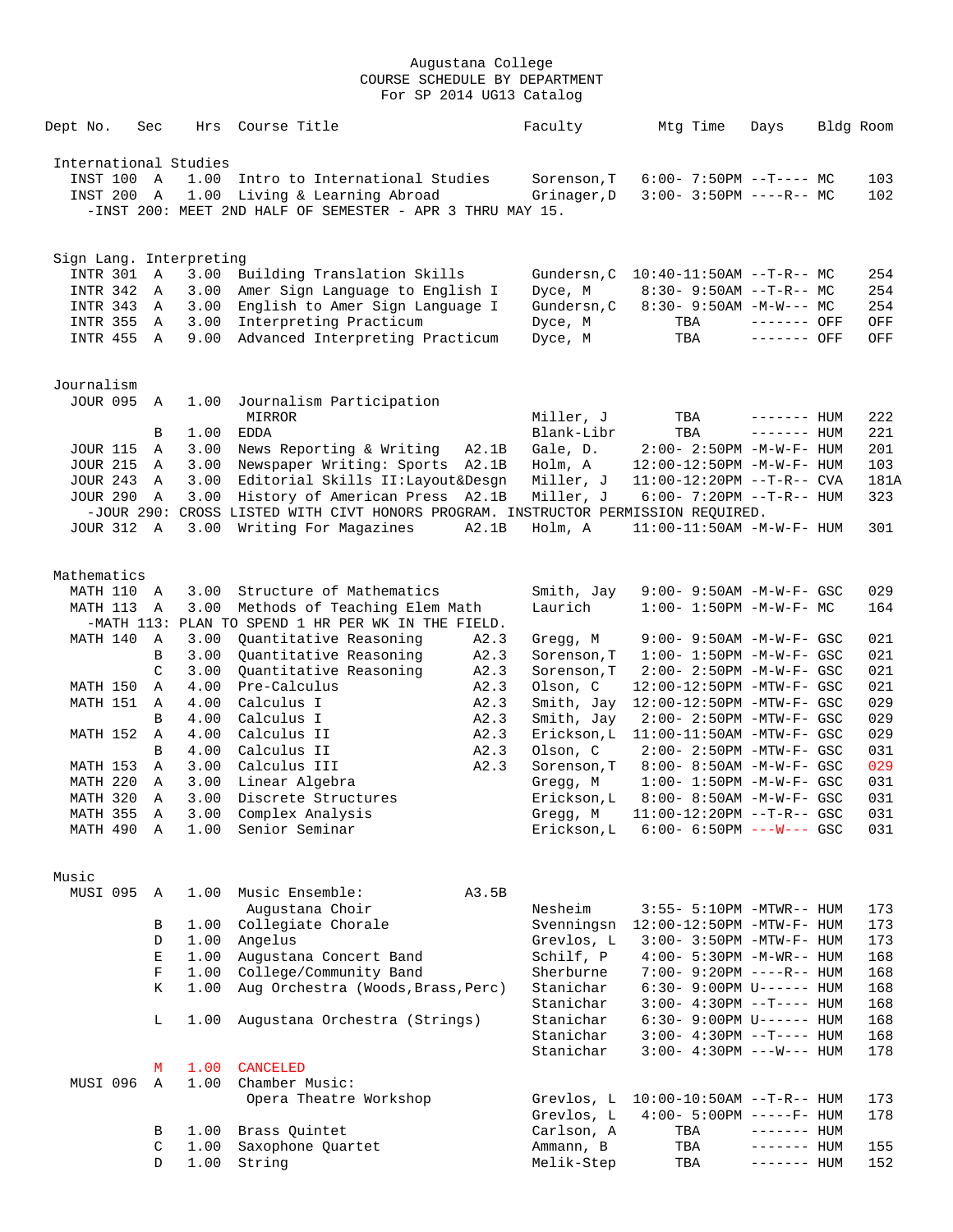| Dept No.                | Sec | Hrs  | Course Title                                                                      |       | Faculty                | Mtg Time                                             | Days         | Bldg Room |            |
|-------------------------|-----|------|-----------------------------------------------------------------------------------|-------|------------------------|------------------------------------------------------|--------------|-----------|------------|
| International Studies   |     |      |                                                                                   |       |                        |                                                      |              |           |            |
| INST 100 A              |     | 1.00 | Intro to International Studies                                                    |       | Sorenson, T            | $6:00 - 7:50PM -T--- MC$                             |              |           | 103        |
| INST 200 A              |     |      | 1.00 Living & Learning Abroad                                                     |       | Grinager, D            | $3:00 - 3:50PM$ ----R-- MC                           |              |           | 102        |
|                         |     |      | -INST 200: MEET 2ND HALF OF SEMESTER - APR 3 THRU MAY 15.                         |       |                        |                                                      |              |           |            |
| Sign Lang. Interpreting |     |      |                                                                                   |       |                        |                                                      |              |           |            |
| INTR 301                | A   | 3.00 | Building Translation Skills                                                       |       |                        | Gundersn, C 10:40-11:50AM --T-R-- MC                 |              |           | 254        |
| INTR 342                | A   | 3.00 | Amer Sign Language to English I                                                   |       | Dyce, M                | $8:30 - 9:50AM -T-R--MC$                             |              |           | 254        |
| INTR 343                | A   | 3.00 | English to Amer Sign Language I                                                   |       | Gundersn, C            | $8:30 - 9:50AM - M-W--- MC$                          |              |           | 254        |
| <b>INTR 355</b>         | A   | 3.00 | Interpreting Practicum                                                            |       | Dyce, M                | TBA                                                  | ------- OFF  |           | OFF        |
| INTR 455                | A   | 9.00 | Advanced Interpreting Practicum                                                   |       | Dyce, M                | TBA                                                  | ------- OFF  |           | OFF        |
| Journalism              |     |      |                                                                                   |       |                        |                                                      |              |           |            |
| <b>JOUR 095</b>         | A   | 1.00 | Journalism Participation                                                          |       |                        |                                                      |              |           |            |
|                         |     |      | MIRROR                                                                            |       | Miller, J              | TBA                                                  | $------$ HUM |           | 222        |
|                         | В   | 1.00 | EDDA                                                                              |       | Blank-Libr             | TBA                                                  | $------$ HUM |           | 221        |
| <b>JOUR 115</b>         | Α   | 3.00 | News Reporting & Writing                                                          | A2.1B | Gale, D.               | $2:00 - 2:50PM -M-W-F - HUM$                         |              |           | 201        |
| <b>JOUR 215</b>         | A   | 3.00 | Newspaper Writing: Sports A2.1B                                                   |       | Holm, A                | 12:00-12:50PM -M-W-F- HUM                            |              |           | 103        |
| <b>JOUR 243</b>         | Α   | 3.00 | Editorial Skills II: Layout&Desgn                                                 |       | Miller, J              | $11:00-12:20PM$ --T-R-- CVA                          |              |           | 181A       |
| <b>JOUR 290</b>         | A   | 3.00 | History of American Press A2.1B                                                   |       | Miller, J              | $6:00 - 7:20PM -T-R--HUM$                            |              |           | 323        |
|                         |     |      | -JOUR 290: CROSS LISTED WITH CIVT HONORS PROGRAM. INSTRUCTOR PERMISSION REQUIRED. |       |                        |                                                      |              |           |            |
| <b>JOUR 312 A</b>       |     | 3.00 | Writing For Magazines                                                             | A2.1B | Holm, A                | $11:00-11:50AM$ -M-W-F- HUM                          |              |           | 301        |
| Mathematics             |     |      |                                                                                   |       |                        |                                                      |              |           |            |
| MATH 110                | A   | 3.00 | Structure of Mathematics                                                          |       | Smith, Jay             | 9:00- 9:50AM -M-W-F- GSC                             |              |           | 029        |
| MATH 113                | Α   | 3.00 | Methods of Teaching Elem Math                                                     |       | Laurich                | $1:00 - 1:50PM - M - W - F - MC$                     |              |           | 164        |
|                         |     |      | -MATH 113: PLAN TO SPEND 1 HR PER WK IN THE FIELD.                                |       |                        |                                                      |              |           |            |
| MATH 140                | Α   | 3.00 | Quantitative Reasoning                                                            | A2.3  | Gregg, M               | $9:00 - 9:50AM - M-W-F - GSC$                        |              |           | 021        |
|                         | B   | 3.00 | Quantitative Reasoning                                                            | A2.3  | Sorenson, T            | $1:00 - 1:50PM - M - W - F - GSC$                    |              |           | 021        |
|                         | C   | 3.00 | Quantitative Reasoning                                                            | A2.3  | Sorenson, T            | $2:00 - 2:50PM - M - W - F - GSC$                    |              |           | 021        |
| MATH 150                | Α   | 4.00 | Pre-Calculus                                                                      | A2.3  | Olson, C               | 12:00-12:50PM -MTW-F- GSC                            |              |           | 021        |
| MATH 151                | A   | 4.00 | Calculus I                                                                        | A2.3  | Smith, Jay             | 12:00-12:50PM -MTW-F- GSC                            |              |           | 029        |
|                         | B   | 4.00 | Calculus I                                                                        | A2.3  | Smith, Jay             | 2:00- 2:50PM -MTW-F- GSC                             |              |           | 029        |
| MATH 152                | Α   | 4.00 | Calculus II                                                                       | A2.3  | Erickson, L            | 11:00-11:50AM -MTW-F- GSC                            |              |           | 029        |
|                         | B   | 4.00 | Calculus II                                                                       | A2.3  | Olson, C               | $2:00-2:50PM -MTW-F-GSC$                             |              |           | 031        |
| MATH 153                | Α   | 3.00 | Calculus III                                                                      | A2.3  | Sorenson, T            | 8:00- 8:50AM -M-W-F- GSC                             |              |           | 029        |
| MATH 220                | Α   | 3.00 | Linear Algebra                                                                    |       | Gregg, M               | $1:00 - 1:50PM - M - W - F - GSC$                    |              |           | 031        |
| MATH 320                | Α   | 3.00 | Discrete Structures<br>MATH 355 A 3.00 Complex Analysis                           |       | Erickson, L            | 8:00- 8:50AM -M-W-F- GSC                             |              |           | 031<br>031 |
| MATH 490 A              |     |      | 1.00 Senior Seminar                                                               |       | Erickson,L             | $6:00 - 6:50PM$ ---W--- GSC                          |              |           | 031        |
|                         |     |      |                                                                                   |       |                        |                                                      |              |           |            |
| Music                   |     |      |                                                                                   |       |                        |                                                      |              |           |            |
| MUSI 095                | A   | 1.00 | Music Ensemble:                                                                   | A3.5B |                        |                                                      |              |           |            |
|                         |     |      | Augustana Choir                                                                   |       | Nesheim                | 3:55- 5:10PM -MTWR-- HUM                             |              |           | 173        |
|                         | В   |      | 1.00 Collegiate Chorale                                                           |       | Svenningsn             | 12:00-12:50PM -MTW-F- HUM                            |              |           | 173        |
|                         | D   | 1.00 | Angelus                                                                           |       | Grevlos, L             | 3:00- 3:50PM -MTW-F- HUM                             |              |           | 173        |
|                         | Е   | 1.00 | Augustana Concert Band                                                            |       | Schilf, P              | 4:00- 5:30PM -M-WR-- HUM                             |              |           | 168        |
|                         | F   |      | 1.00 College/Community Band                                                       |       | Sherburne              | 7:00- 9:20PM ----R-- HUM                             |              |           | 168        |
|                         | Κ   | 1.00 | Aug Orchestra (Woods, Brass, Perc)                                                |       | Stanichar              | $6:30 - 9:00 \text{PM U----- HUM}$                   |              |           | 168        |
|                         |     |      |                                                                                   |       | Stanichar              | $3:00-4:30PM -T--- HUM$                              |              |           | 168        |
|                         | L   | 1.00 | Augustana Orchestra (Strings)                                                     |       | Stanichar              | $6:30 - 9:00 \text{PM U----- HUM}$                   |              |           | 168        |
|                         |     |      |                                                                                   |       | Stanichar<br>Stanichar | $3:00-4:30PM -T--- HUM$<br>$3:00-4:30PM$ ---W--- HUM |              |           | 168<br>178 |
|                         | М   | 1.00 | <b>CANCELED</b>                                                                   |       |                        |                                                      |              |           |            |
| MUSI 096                | Α   | 1.00 | Chamber Music:                                                                    |       |                        |                                                      |              |           |            |
|                         |     |      | Opera Theatre Workshop                                                            |       | Grevlos, L             | $10:00-10:50AM$ --T-R-- HUM                          |              |           | 173        |
|                         |     |      |                                                                                   |       | Grevlos, L             | $4:00 - 5:00PM$ -----F- HUM                          |              |           | 178        |
|                         | В   |      | 1.00 Brass Quintet                                                                |       | Carlson, A             | TBA                                                  | $------$ HUM |           |            |
|                         | C   | 1.00 | Saxophone Quartet                                                                 |       | Ammann, B              | TBA                                                  | $------$ HUM |           | 155        |
|                         | D   | 1.00 | String                                                                            |       | Melik-Step             | TBA                                                  | $------$ HUM |           | 152        |
|                         |     |      |                                                                                   |       |                        |                                                      |              |           |            |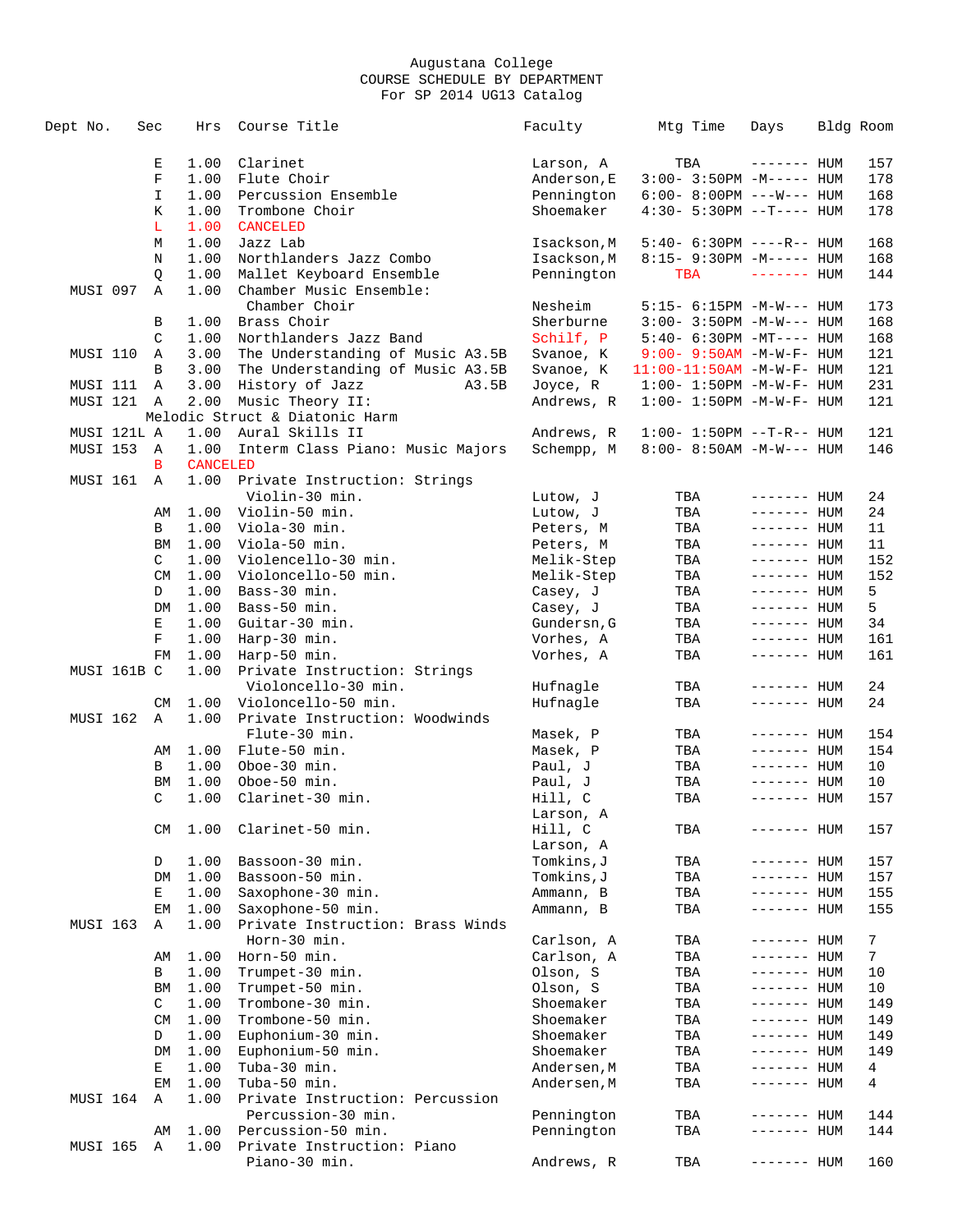| Dept No.                | Sec           | Hrs             | Course Title                                        | Faculty                  | Mtg Time                                                  | Days                       | Bldg Room  |
|-------------------------|---------------|-----------------|-----------------------------------------------------|--------------------------|-----------------------------------------------------------|----------------------------|------------|
|                         | Е             | 1.00            | Clarinet                                            | Larson, A                | TBA                                                       | $------$ HUM               | 157        |
|                         | $\mathbf F$   | 1.00            | Flute Choir                                         | Anderson, E              | $3:00-3:50PM -M-----$ HUM                                 |                            | 178        |
|                         | I             | 1.00            | Percussion Ensemble                                 | Pennington               | $6:00 - 8:00PM$ ---W--- HUM                               |                            | 168        |
|                         | Κ             | 1.00            | Trombone Choir                                      | Shoemaker                | $4:30 - 5:30PM -T--- HUM$                                 |                            | 178        |
|                         | L             | 1.00            | <b>CANCELED</b>                                     |                          |                                                           |                            |            |
|                         | M             | 1.00            | Jazz Lab                                            | Isackson, M              | 5:40- 6:30PM ----R-- HUM                                  |                            | 168        |
|                         | N             | 1.00            | Northlanders Jazz Combo                             | Isackson, M              | 8:15- 9:30PM -M----- HUM                                  |                            | 168        |
|                         | Q             | 1.00            | Mallet Keyboard Ensemble                            | Pennington               | TBA                                                       | $------$ HUM               | 144        |
| MUSI 097                | Α             | 1.00            | Chamber Music Ensemble:                             |                          |                                                           |                            |            |
|                         |               |                 | Chamber Choir                                       | Nesheim                  | 5:15- 6:15PM -M-W--- HUM                                  |                            | 173        |
|                         | В             | 1.00            | Brass Choir                                         | Sherburne                | $3:00 - 3:50PM -M-W--- HUM$                               |                            | 168        |
|                         | $\mathcal{C}$ | 1.00            | Northlanders Jazz Band                              | Schilf, P                | 5:40- 6:30PM -MT---- HUM                                  |                            | 168        |
| MUSI 110                | Α             | 3.00            | The Understanding of Music A3.5B                    | Svanoe, K                | $9:00 - 9:50AM - M - W - F - HUM$                         |                            | 121        |
|                         | B             | 3.00            | The Understanding of Music A3.5B                    | Svanoe, K                | $11:00-11:50AM$ -M-W-F- HUM                               |                            | 121        |
| MUSI 111 A              |               | 3.00            | History of Jazz<br>A3.5B                            | Joyce, R                 | $1:00 - 1:50PM - M - W - F - HUM$                         |                            | 231        |
| MUSI 121 A              |               | 2.00            | Music Theory II:                                    | Andrews, R               | $1:00 - 1:50PM - M - W - F - HUM$                         |                            | 121        |
|                         |               | 1.00            | Melodic Struct & Diatonic Harm                      |                          |                                                           |                            |            |
| MUSI 121L A<br>MUSI 153 | A             | 1.00            | Aural Skills II<br>Interm Class Piano: Music Majors | Andrews, R<br>Schempp, M | $1:00 - 1:50PM -T-R--HUM$<br>$8:00 - 8:50AM - M-W---$ HUM |                            | 121<br>146 |
|                         | B             | <b>CANCELED</b> |                                                     |                          |                                                           |                            |            |
| MUSI 161                | A             | 1.00            | Private Instruction: Strings                        |                          |                                                           |                            |            |
|                         |               |                 | Violin-30 min.                                      | Lutow, J                 | TBA                                                       | $------$ HUM               | 24         |
|                         | AΜ            | 1.00            | Violin-50 min.                                      | Lutow, J                 | TBA                                                       | ------- HUM                | 24         |
|                         | В             | 1.00            | Viola-30 min.                                       | Peters, M                | TBA                                                       | ------- HUM                | 11         |
|                         | BM            | 1.00            | Viola-50 min.                                       | Peters, M                | TBA                                                       | ------- HUM                | 11         |
|                         | $\mathsf{C}$  | 1.00            | Violencello-30 min.                                 | Melik-Step               | TBA                                                       | ------- HUM                | 152        |
|                         | CM            | 1.00            | Violoncello-50 min.                                 | Melik-Step               | TBA                                                       | $------$ HUM               | 152        |
|                         | D             | 1.00            | Bass-30 min.                                        | Casey, J                 | TBA                                                       | $------$ HUM               | 5          |
|                         | DM            | 1.00            | Bass-50 min.                                        | Casey, J                 | TBA                                                       | $------$ HUM               | 5          |
|                         | Е             | 1.00            | Guitar-30 min.                                      | Gundersn, G              | TBA                                                       | ------- HUM                | 34         |
|                         | F             | 1.00            | Harp-30 min.                                        | Vorhes, A                | TBA                                                       | $------$ HUM               | 161        |
|                         | FM            | 1.00            | Harp-50 min.                                        | Vorhes, A                | TBA                                                       | ------- HUM                | 161        |
| MUSI 161B C             |               | 1.00            | Private Instruction: Strings                        |                          |                                                           |                            |            |
|                         |               |                 | Violoncello-30 min.                                 | Hufnagle                 | TBA                                                       | ------- HUM                | 24         |
|                         | CM            | 1.00            | Violoncello-50 min.                                 | Hufnagle                 | TBA                                                       | $------$ HUM               | 24         |
| MUSI 162                | A             | 1.00            | Private Instruction: Woodwinds                      |                          |                                                           |                            |            |
|                         |               |                 | Flute-30 min.                                       | Masek, P                 | TBA                                                       | ------- HUM                | 154        |
|                         | AΜ            | 1.00            | Flute-50 min.<br>Oboe-30 min.                       | Masek, P                 | TBA                                                       | $------$ HUM               | 154        |
|                         | В<br>BM       | 1.00<br>1.00    | Oboe-50 min.                                        | Paul, J<br>Paul, J       | TBA<br>TBA                                                | ------- HUM<br>------- HUM | 10<br>10   |
|                         | C             | 1.00            | Clarinet-30 min.                                    | Hill, C                  | TBA                                                       | ------- HUM                | 157        |
|                         |               |                 |                                                     | Larson, A                |                                                           |                            |            |
|                         | CM            | 1.00            | Clarinet-50 min.                                    | Hill, C                  | TBA                                                       | ------- HUM                | 157        |
|                         |               |                 |                                                     | Larson, A                |                                                           |                            |            |
|                         | D             | 1.00            | Bassoon-30 min.                                     | Tomkins, J               | TBA                                                       | ------- HUM                | 157        |
|                         | DM            | 1.00            | Bassoon-50 min.                                     | Tomkins,J                | TBA                                                       | ------- HUM                | 157        |
|                         | Е             | 1.00            | Saxophone-30 min.                                   | Ammann, B                | TBA                                                       | $------$ HUM               | 155        |
|                         | EМ            | 1.00            | Saxophone-50 min.                                   | Ammann, B                | TBA                                                       | $------$ HUM               | 155        |
| <b>MUSI 163</b>         | Α             | 1.00            | Private Instruction: Brass Winds                    |                          |                                                           |                            |            |
|                         |               |                 | Horn-30 min.                                        | Carlson, A               | TBA                                                       | ------- HUM                | 7          |
|                         | AΜ            | 1.00            | Horn-50 min.                                        | Carlson, A               | TBA                                                       | ------- HUM                | 7          |
|                         | В             | 1.00            | Trumpet-30 min.                                     | Olson, S                 | TBA                                                       | ------- HUM                | 10         |
|                         | BM            | 1.00            | Trumpet-50 min.                                     | Olson, S                 | TBA                                                       | $------$ HUM               | 10         |
|                         | C             | 1.00            | Trombone-30 min.                                    | Shoemaker                | TBA                                                       | $------$ HUM               | 149        |
|                         | <b>CM</b>     | 1.00            | Trombone-50 min.                                    | Shoemaker                | TBA                                                       | $------$ HUM               | 149        |
|                         | D             | 1.00            | Euphonium-30 min.                                   | Shoemaker                | TBA                                                       | ------- HUM                | 149        |
|                         | DM            | 1.00            | Euphonium-50 min.                                   | Shoemaker                | TBA                                                       | $------$ HUM               | 149        |
|                         | Е             | 1.00            | Tuba-30 min.<br>Tuba-50 min.                        | Andersen, M              | TBA                                                       | $------$ HUM               | 4          |
| MUSI 164                | EM<br>Α       | 1.00<br>1.00    | Private Instruction: Percussion                     | Andersen, M              | TBA                                                       | ------- HUM                | 4          |
|                         |               |                 | Percussion-30 min.                                  | Pennington               | TBA                                                       | ------- HUM                | 144        |
|                         | AΜ            | 1.00            | Percussion-50 min.                                  | Pennington               | TBA                                                       | $------$ HUM               | 144        |
| <b>MUSI 165</b>         | Α             | 1.00            | Private Instruction: Piano                          |                          |                                                           |                            |            |
|                         |               |                 | Piano-30 min.                                       | Andrews, R               | TBA                                                       | ------- <b>HUM</b>         | 160        |
|                         |               |                 |                                                     |                          |                                                           |                            |            |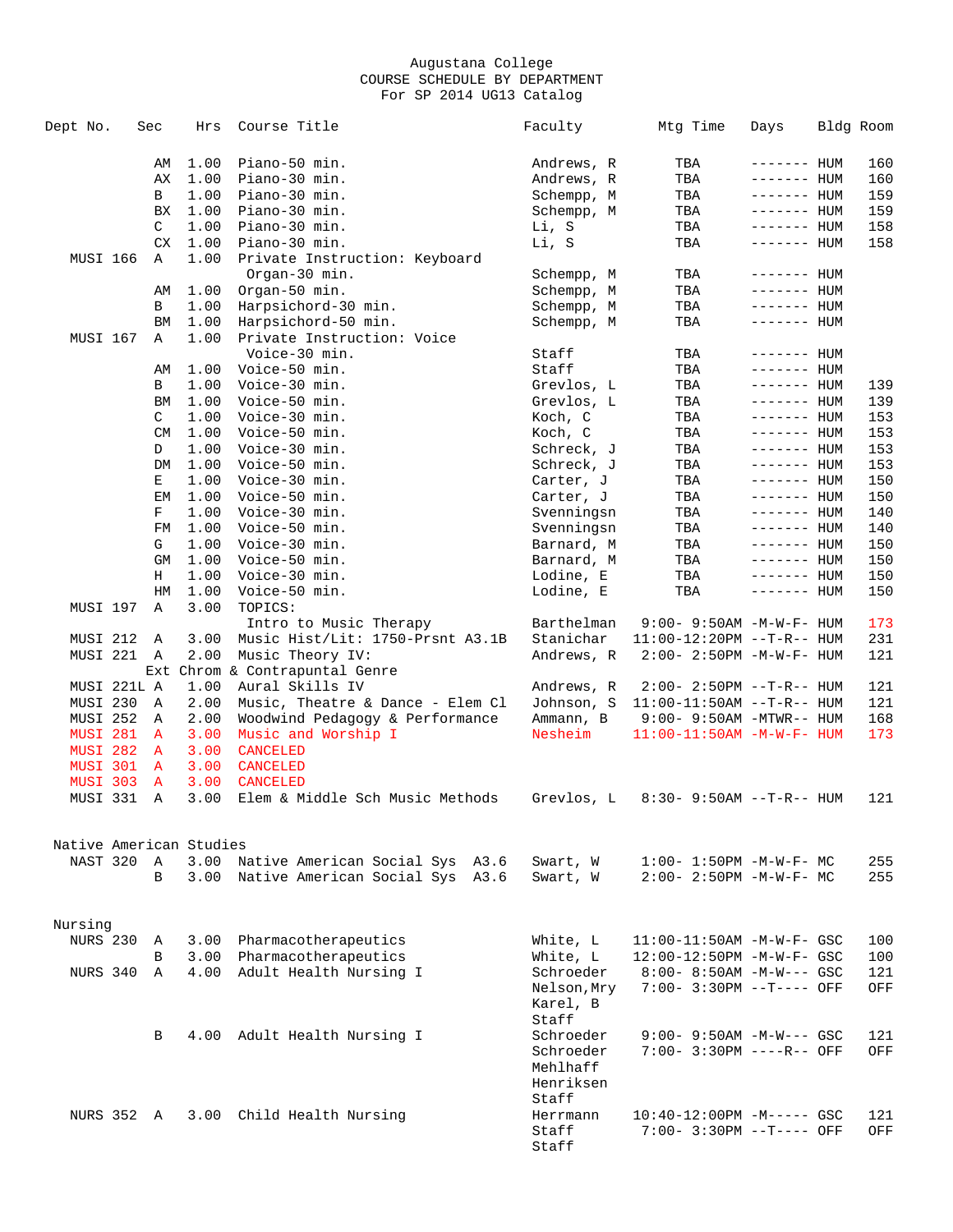| Dept No.                | Sec          | Hrs          | Course Title                         | Faculty                  | Mtg Time                          | Days                       | Bldg Room |
|-------------------------|--------------|--------------|--------------------------------------|--------------------------|-----------------------------------|----------------------------|-----------|
|                         | AΜ           | 1.00         | Piano-50 min.                        | Andrews, R               | TBA                               | ------- HUM                | 160       |
|                         | AХ           | 1.00         | Piano-30 min.                        | Andrews, R               | TBA                               | ------- HUM                | 160       |
|                         | В            | 1.00         | Piano-30 min.                        | Schempp, M               | TBA                               | ------- HUM                | 159       |
|                         | BX           | 1.00         | Piano-30 min.                        | Schempp, M               | TBA                               | ------- HUM                | 159       |
|                         | C            | 1.00         | Piano-30 min.                        | Li, S                    | TBA                               | ------- HUM                | 158       |
|                         | CX           | 1.00         | Piano-30 min.                        | Li, S                    | TBA                               | ------- HUM                | 158       |
| <b>MUSI 166</b>         | Α            | 1.00         | Private Instruction: Keyboard        |                          |                                   |                            |           |
|                         |              |              | Organ-30 min.                        |                          |                                   |                            |           |
|                         |              |              |                                      | Schempp, M<br>Schempp, M | TBA                               | ------- HUM                |           |
|                         | AΜ           | 1.00<br>1.00 | Organ-50 min.                        |                          | TBA                               | ------- HUM                |           |
|                         | В            |              | Harpsichord-30 min.                  | Schempp, M               | TBA                               | ------- HUM                |           |
| <b>MUSI 167</b>         | BM           | 1.00         | Harpsichord-50 min.                  | Schempp, M               | TBA                               | ------- HUM                |           |
|                         | Α            | 1.00         | Private Instruction: Voice           |                          |                                   |                            |           |
|                         |              |              | Voice-30 min.<br>Voice-50 min.       | Staff                    | TBA                               | ------- HUM<br>------- HUM |           |
|                         | AΜ           | 1.00         |                                      | Staff                    | TBA                               |                            |           |
|                         | В            | 1.00         | Voice-30 min.                        | Grevlos, L               | TBA                               | ------- HUM                | 139       |
|                         | BM           | 1.00         | Voice-50 min.                        | Grevlos, L               | TBA                               | ------- HUM                | 139       |
|                         | C            | 1.00         | Voice-30 min.                        | Koch, C                  | TBA                               | $------$ HUM               | 153       |
|                         | CM           | 1.00         | Voice-50 min.                        | Koch, C                  | TBA                               | ------- HUM                | 153       |
|                         | D            | 1.00         | Voice-30 min.                        | Schreck, J               | TBA                               | ------- HUM                | 153       |
|                         | DM           | 1.00         | Voice-50 min.                        | Schreck, J               | TBA                               | ------- HUM                | 153       |
|                         | Е            | 1.00         | Voice-30 min.                        | Carter, J                | TBA                               | $------$ HUM               | 150       |
|                         | ΕM           | 1.00         | Voice-50 min.                        | Carter, J                | TBA                               | ------- HUM                | 150       |
|                         | F            | 1.00         | Voice-30 min.                        | Svenningsn               | TBA                               | $------$ HUM               | 140       |
|                         | FM           | 1.00         | Voice-50 min.                        | Svenningsn               | TBA                               | $------$ HUM               | 140       |
|                         | G            | 1.00         | Voice-30 min.                        | Barnard, M               | TBA                               | $------$ HUM               | 150       |
|                         | GM           | 1.00         | Voice-50 min.                        | Barnard, M               | TBA                               | ------- HUM                | 150       |
|                         | Н            | 1.00         | Voice-30 min.                        | Lodine, E                | TBA                               | $------$ HUM               | 150       |
|                         | HM           | 1.00         | Voice-50 min.                        | Lodine, E                | TBA                               | ------- HUM                | 150       |
| MUSI 197                | Α            | 3.00         | TOPICS:                              |                          |                                   |                            |           |
|                         |              |              | Intro to Music Therapy               | Barthelman               | $9:00 - 9:50AM - M - W - F - HUM$ |                            | 173       |
| MUSI 212                | Α            | 3.00         | Music Hist/Lit: 1750-Prsnt A3.1B     | Stanichar                | $11:00-12:20PM --T-R--HUM$        |                            | 231       |
| MUSI 221                | Α            | 2.00         | Music Theory IV:                     | Andrews, R               | $2:00 - 2:50PM -M-W-F - HUM$      |                            | 121       |
|                         |              |              | Ext Chrom & Contrapuntal Genre       |                          |                                   |                            |           |
| MUSI 221L A             |              | 1.00         | Aural Skills IV                      | Andrews, R               | $2:00 - 2:50PM -T-R--HUM$         |                            | 121       |
| MUSI 230                | Α            | 2.00         | Music, Theatre & Dance - Elem Cl     | Johnson, S               | $11:00-11:50AM$ --T-R-- HUM       |                            | 121       |
| MUSI 252                | Α            | 2.00         | Woodwind Pedagogy & Performance      | Ammann, B                | $9:00 - 9:50AM - MTWR - - HUM$    |                            | 168       |
| <b>MUSI 281</b>         | $\mathbf{A}$ | 3.00         | Music and Worship I                  | Nesheim                  | $11:00-11:50AM$ -M-W-F- HUM       |                            | 173       |
| MUSI 282                | A            | 3.00         | <b>CANCELED</b>                      |                          |                                   |                            |           |
| MUSI 301                | A            | 3.00         | <b>CANCELED</b>                      |                          |                                   |                            |           |
| <b>MUSI 303</b>         | A            | 3.00         | <b>CANCELED</b>                      |                          |                                   |                            |           |
| MUSI 331                | A            | 3.00         | Elem & Middle Sch Music Methods      | Grevlos, L               | 8:30- 9:50AM --T-R-- HUM          |                            | 121       |
| Native American Studies |              |              |                                      |                          |                                   |                            |           |
| NAST 320                | Α            |              | 3.00 Native American Social Sys A3.6 | Swart, W                 | $1:00 - 1:50PM - M - W - F - MC$  |                            | 255       |
|                         | B            |              | 3.00 Native American Social Sys A3.6 | Swart, W                 | $2:00 - 2:50PM -M-W-F-MC$         |                            | 255       |
|                         |              |              |                                      |                          |                                   |                            |           |
| Nursing                 |              |              |                                      |                          |                                   |                            |           |
| <b>NURS 230</b>         | Α            |              | 3.00 Pharmacotherapeutics            | White, L                 | $11:00-11:50AM$ -M-W-F- GSC       |                            | 100       |
|                         | B            |              | 3.00 Pharmacotherapeutics            | White, L                 | 12:00-12:50PM -M-W-F- GSC         |                            | 100       |
| NURS 340                | Α            |              | 4.00 Adult Health Nursing I          | Schroeder                | $8:00 - 8:50AM - M-W--- GSC$      |                            | 121       |
|                         |              |              |                                      | Nelson, Mry<br>Karel, B  | 7:00- 3:30PM --T---- OFF          |                            | OFF       |
|                         | В            |              | 4.00 Adult Health Nursing I          | Staff<br>Schroeder       | $9:00 - 9:50AM - M-W--- GSC$      |                            | 121       |
|                         |              |              |                                      | Schroeder                | 7:00- 3:30PM ----R-- OFF          |                            | OFF       |
|                         |              |              |                                      | Mehlhaff                 |                                   |                            |           |
|                         |              |              |                                      | Henriksen                |                                   |                            |           |
|                         |              |              |                                      | Staff                    |                                   |                            |           |
| NURS 352 A              |              |              | 3.00 Child Health Nursing            | Herrmann                 | $10:40-12:00PM -M--- GSC$         |                            | 121       |
|                         |              |              |                                      | Staff<br>Staff           | 7:00- 3:30PM --T---- OFF          |                            | OFF       |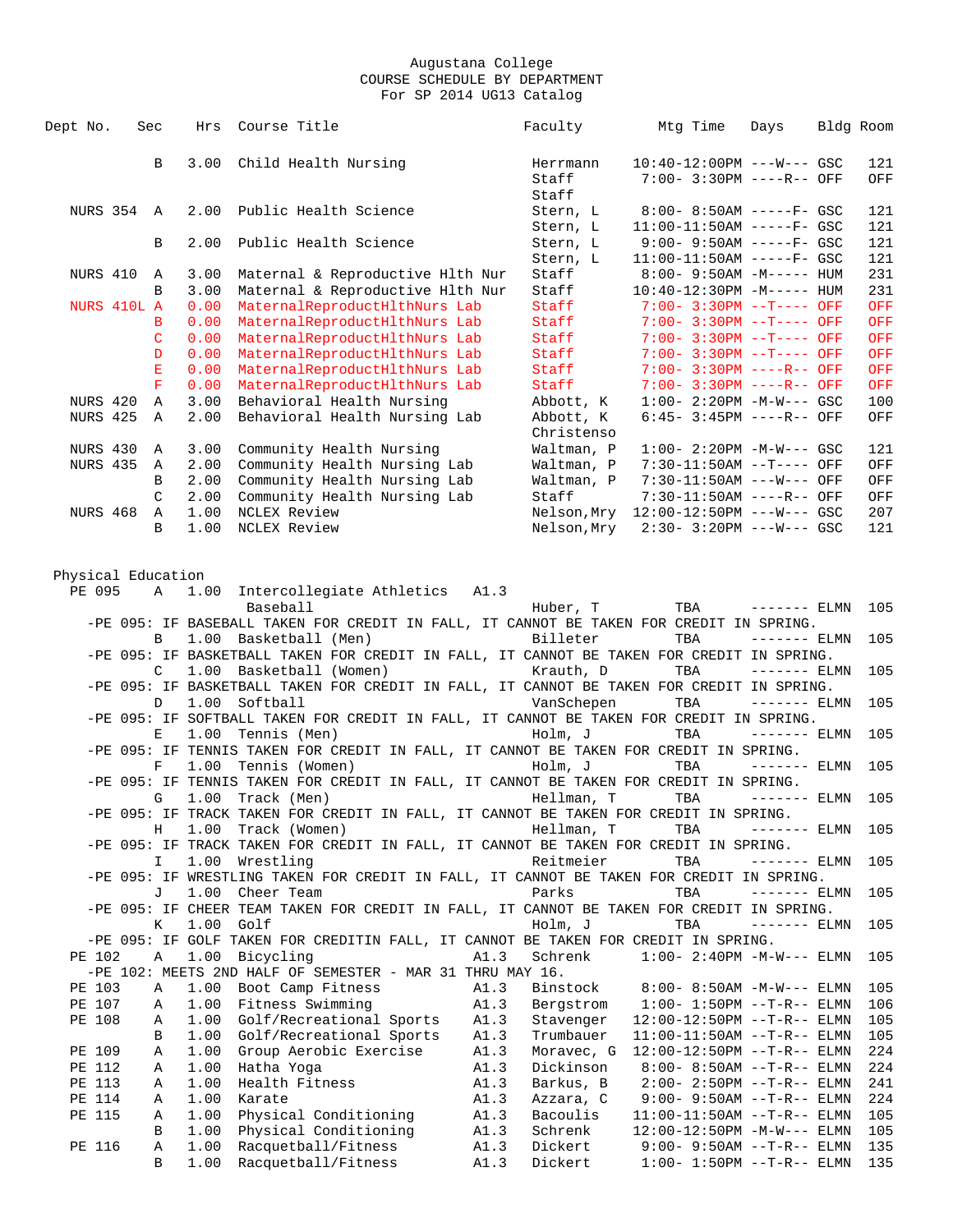| Dept No.           | Sec         |               | Hrs          | Course Title                                                                                                    |              | Faculty                 | Mtg Time                                                   | Days          | Bldg Room |            |
|--------------------|-------------|---------------|--------------|-----------------------------------------------------------------------------------------------------------------|--------------|-------------------------|------------------------------------------------------------|---------------|-----------|------------|
|                    |             | B             | 3.00         | Child Health Nursing                                                                                            |              | Herrmann                | $10:40-12:00PM$ ---W--- GSC                                |               |           | 121        |
|                    |             |               |              |                                                                                                                 |              | Staff                   | 7:00- 3:30PM ----R-- OFF                                   |               |           | OFF        |
|                    |             |               |              |                                                                                                                 |              | Staff                   |                                                            |               |           |            |
| NURS 354 A         |             |               | 2.00         | Public Health Science                                                                                           |              | Stern, L                | $8:00 - 8:50AM$ -----F- GSC                                |               |           | 121        |
|                    |             | B             | 2.00         | Public Health Science                                                                                           |              | Stern, L                | $11:00-11:50AM$ -----F- GSC<br>$9:00 - 9:50AM$ -----F- GSC |               |           | 121<br>121 |
|                    |             |               |              |                                                                                                                 |              | Stern, L<br>Stern, L    | $11:00-11:50AM$ -----F- GSC                                |               |           | 121        |
| NURS 410           |             | Α             | 3.00         | Maternal & Reproductive Hlth Nur                                                                                |              | Staff                   | $8:00 - 9:50AM - M---HUM$                                  |               |           | 231        |
|                    |             | B             | 3.00         | Maternal & Reproductive Hlth Nur                                                                                |              | Staff                   | $10:40-12:30PM -M---$ HUM                                  |               |           | 231        |
|                    | NURS 410L A |               | 0.00         | MaternalReproductHlthNurs Lab                                                                                   |              | Staff                   | 7:00- 3:30PM --T---- OFF                                   |               |           | OFF        |
|                    |             | B             | 0.00         | MaternalReproductHlthNurs Lab                                                                                   |              | Staff                   | $7:00 - 3:30PM -T--- OFF$                                  |               |           | OFF        |
|                    |             | C             | 0.00         | MaternalReproductHlthNurs Lab                                                                                   |              | Staff                   | $7:00 - 3:30PM -T--- OFF$                                  |               |           | OFF        |
|                    |             | D             | 0.00         | MaternalReproductHlthNurs Lab                                                                                   |              | Staff                   | $7:00 - 3:30PM -T--- OFF$                                  |               |           | <b>OFF</b> |
|                    |             | $\mathbf E$   | 0.00         | MaternalReproductHlthNurs Lab                                                                                   |              | Staff                   | 7:00- 3:30PM ----R-- OFF                                   |               |           | OFF        |
|                    |             | F             | 0.00         | MaternalReproductHlthNurs Lab                                                                                   |              | Staff                   | 7:00- 3:30PM ----R-- OFF                                   |               |           | OFF        |
| NURS 420           |             | Α             | 3.00         | Behavioral Health Nursing                                                                                       |              | Abbott, K               | $1:00-2:20PM -M-W--- GSC$                                  |               |           | 100        |
| <b>NURS 425</b>    |             | Α             | 2.00         | Behavioral Health Nursing Lab                                                                                   |              | Abbott, K<br>Christenso | $6:45-3:45PM$ ----R-- OFF                                  |               |           | OFF        |
| NURS 430           |             | Α             | 3.00         | Community Health Nursing                                                                                        |              | Waltman, P              | $1:00 - 2:20PM -M-W--- GSC$                                |               |           | 121        |
| <b>NURS 435</b>    |             | Α             | 2.00         | Community Health Nursing Lab                                                                                    |              | Waltman, P              | 7:30-11:50AM --T---- OFF                                   |               |           | OFF        |
|                    |             | B             | 2.00         | Community Health Nursing Lab                                                                                    |              | Waltman, P              | 7:30-11:50AM ---W--- OFF                                   |               |           | OFF        |
|                    |             | C             | 2.00         | Community Health Nursing Lab                                                                                    |              | Staff                   | 7:30-11:50AM ----R-- OFF                                   |               |           | OFF        |
| <b>NURS 468</b>    |             | Α             | 1.00         | NCLEX Review                                                                                                    |              | Nelson,Mry              | $12:00-12:50PM$ ---W--- GSC                                |               |           | 207        |
|                    |             | B             | 1.00         | NCLEX Review                                                                                                    |              | Nelson,Mry              | $2:30 - 3:20PM$ ---W--- GSC                                |               |           | 121        |
|                    |             |               |              |                                                                                                                 |              |                         |                                                            |               |           |            |
| Physical Education |             |               |              |                                                                                                                 |              |                         |                                                            |               |           |            |
| PE 095             |             | Α             | 1.00         | Intercollegiate Athletics A1.3                                                                                  |              |                         |                                                            |               |           |            |
|                    |             |               |              | Baseball                                                                                                        |              | Huber, T                | TBA                                                        | $------$ ELMN |           | 105        |
|                    |             |               |              | -PE 095: IF BASEBALL TAKEN FOR CREDIT IN FALL, IT CANNOT BE TAKEN FOR CREDIT IN SPRING.                         |              |                         |                                                            |               |           |            |
|                    |             | B             | 1.00         | Basketball (Men)                                                                                                |              | Billeter                | TBA                                                        | $------ELMN$  |           | 105        |
|                    |             | $\mathcal{C}$ | 1.00         | -PE 095: IF BASKETBALL TAKEN FOR CREDIT IN FALL, IT CANNOT BE TAKEN FOR CREDIT IN SPRING.<br>Basketball (Women) |              | Krauth, D               | TBA                                                        | $------$ ELMN |           | 105        |
|                    |             |               |              | -PE 095: IF BASKETBALL TAKEN FOR CREDIT IN FALL, IT CANNOT BE TAKEN FOR CREDIT IN SPRING.                       |              |                         |                                                            |               |           |            |
|                    |             | D             | 1.00         | Softball                                                                                                        |              | VanSchepen              | TBA                                                        | $------$ ELMN |           | 105        |
|                    |             |               |              | -PE 095: IF SOFTBALL TAKEN FOR CREDIT IN FALL, IT CANNOT BE TAKEN FOR CREDIT IN SPRING.                         |              |                         |                                                            |               |           |            |
|                    |             | Ε             | 1.00         | Tennis (Men)                                                                                                    |              | Holm, J                 | TBA                                                        | $------ELMN$  |           | 105        |
|                    |             |               |              | -PE 095: IF TENNIS TAKEN FOR CREDIT IN FALL, IT CANNOT BE TAKEN FOR CREDIT IN SPRING.                           |              |                         |                                                            |               |           |            |
|                    |             | F             | 1.00         | Tennis (Women)                                                                                                  |              | Holm, J                 | TBA                                                        | $------$ ELMN |           | 105        |
|                    |             |               |              | -PE 095: IF TENNIS TAKEN FOR CREDIT IN FALL, IT CANNOT BE TAKEN FOR CREDIT IN SPRING.                           |              |                         |                                                            |               |           |            |
|                    |             | G             | 1.00         | Track (Men)                                                                                                     |              | Hellman, T              | TBA                                                        | $------$ ELMN |           | 105        |
|                    |             |               |              | -PE 095: IF TRACK TAKEN FOR CREDIT IN FALL, IT CANNOT BE TAKEN FOR CREDIT IN SPRING.                            |              |                         |                                                            |               |           |            |
|                    |             | Н             |              | 1.00 Track (Women)                                                                                              |              | Hellman, T              | TBA                                                        | $------$ ELMN |           | 105        |
|                    |             |               |              | -PE 095: IF TRACK TAKEN FOR CREDIT IN FALL, IT CANNOT BE TAKEN FOR CREDIT IN SPRING.                            |              |                         |                                                            |               |           |            |
|                    |             | I             | 1.00         | Wrestling<br>-PE 095: IF WRESTLING TAKEN FOR CREDIT IN FALL, IT CANNOT BE TAKEN FOR CREDIT IN SPRING.           |              | Reitmeier               | TBA                                                        | $------ELMN$  |           | 105        |
|                    |             | J             | 1.00         | Cheer Team                                                                                                      |              | Parks                   | TBA                                                        | $------$ ELMN |           | 105        |
|                    |             |               |              | -PE 095: IF CHEER TEAM TAKEN FOR CREDIT IN FALL, IT CANNOT BE TAKEN FOR CREDIT IN SPRING.                       |              |                         |                                                            |               |           |            |
|                    |             | К             | 1.00         | Golf                                                                                                            |              | Holm, J                 | TBA                                                        | $------ELMN$  |           | 105        |
|                    |             |               |              | -PE 095: IF GOLF TAKEN FOR CREDITIN FALL, IT CANNOT BE TAKEN FOR CREDIT IN SPRING.                              |              |                         |                                                            |               |           |            |
| PE 102             |             | Α             | 1.00         | Bicycling                                                                                                       | A1.3         | Schrenk                 | $1:00 - 2:40PM -M-W---$ ELMN                               |               |           | 105        |
|                    |             |               |              | -PE 102: MEETS 2ND HALF OF SEMESTER - MAR 31 THRU MAY 16.                                                       |              |                         |                                                            |               |           |            |
| PE 103             |             | Α             | 1.00         | Boot Camp Fitness                                                                                               | A1.3         | Binstock                | $8:00 - 8:50AM - M-W---$ ELMN                              |               |           | 105        |
| PE 107             |             | Α             | 1.00         | Fitness Swimming                                                                                                | A1.3         | Bergstrom               | $1:00 - 1:50PM -T-R-- ELMN$                                |               |           | 106        |
| PE 108             |             | Α             | 1.00         | Golf/Recreational Sports                                                                                        | A1.3         | Stavenger               | $12:00-12:50PM$ --T-R-- ELMN                               |               |           | 105        |
|                    |             | B             | 1.00         | Golf/Recreational Sports                                                                                        | A1.3         | Trumbauer               | $11:00-11:50AM$ --T-R-- ELMN                               |               |           | 105        |
| PE 109             |             | Α             | 1.00         | Group Aerobic Exercise                                                                                          | A1.3         | Moravec, G              | $12:00-12:50PM$ --T-R-- ELMN                               |               |           | 224        |
| PE 112             |             | Α             | 1.00<br>1.00 | Hatha Yoga                                                                                                      | A1.3         | Dickinson               | $8:00 - 8:50AM -T-R--ELMN$                                 |               |           | 224        |
| PE 113<br>PE 114   |             | Α<br>Α        | 1.00         | Health Fitness<br>Karate                                                                                        | A1.3<br>A1.3 | Barkus, B<br>Azzara, C  | $2:00-2:50PM -T-R--ELMN$<br>$9:00 - 9:50AM -T-R--ELMN$     |               |           | 241<br>224 |
| PE 115             |             | Α             | 1.00         | Physical Conditioning                                                                                           | A1.3         | Bacoulis                | $11:00-11:50AM$ --T-R-- ELMN                               |               |           | 105        |
|                    |             | В             | 1.00         | Physical Conditioning                                                                                           | A1.3         | Schrenk                 | 12:00-12:50PM -M-W--- ELMN                                 |               |           | 105        |
| PE 116             |             | Α             | 1.00         | Racquetball/Fitness                                                                                             | A1.3         | Dickert                 | $9:00 - 9:50AM -T-R--ELMN$                                 |               |           | 135        |
|                    |             | B             | 1.00         | Racquetball/Fitness                                                                                             | A1.3         | Dickert                 | $1:00 - 1:50PM -T-R-- ELMN$                                |               |           | 135        |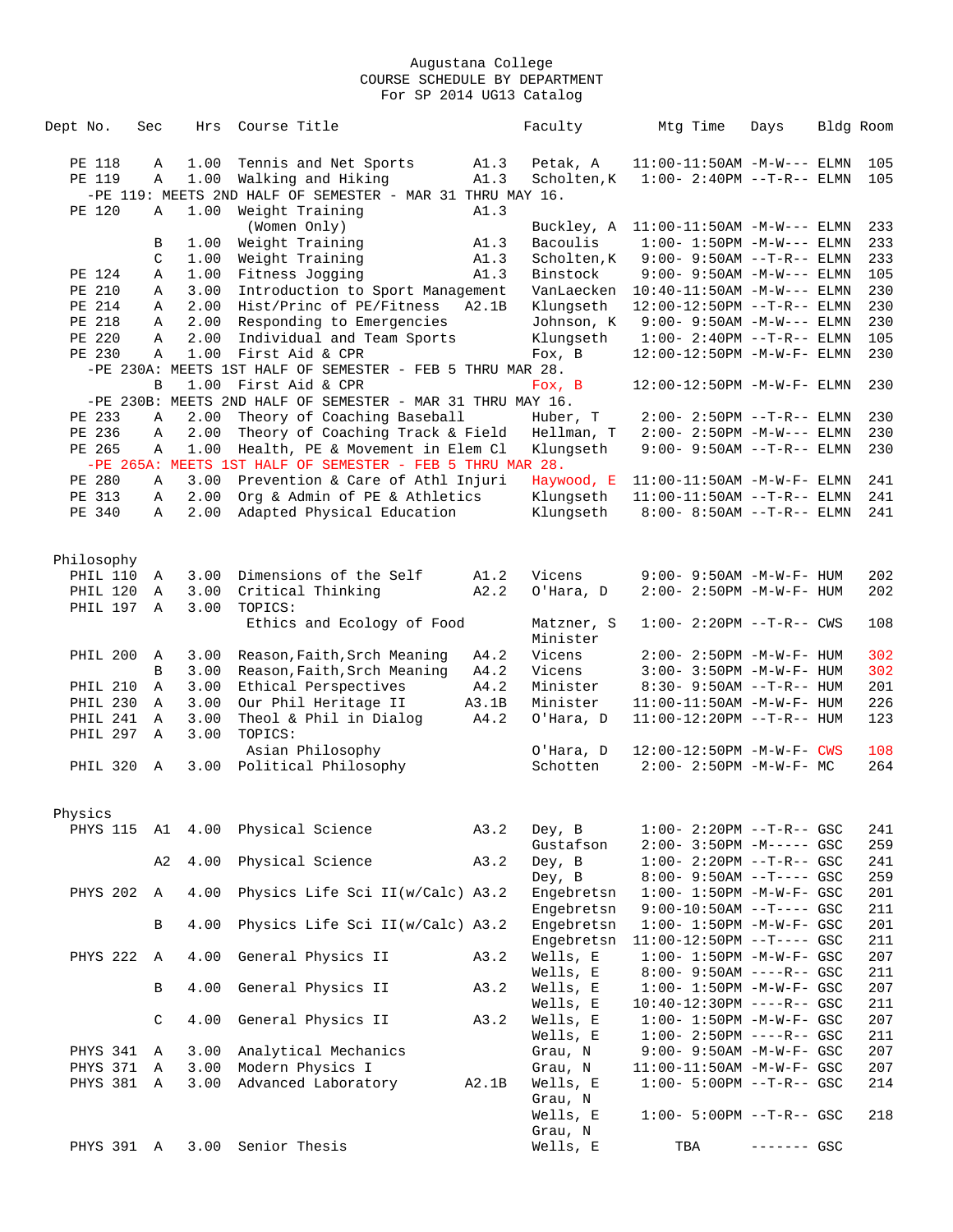| Dept No.             | Sec    | Hrs          | Course Title                                                         |       | Faculty                  | Mtg Time                                                         | Days         | Bldg Room |            |
|----------------------|--------|--------------|----------------------------------------------------------------------|-------|--------------------------|------------------------------------------------------------------|--------------|-----------|------------|
| PE 118               | Α      | 1.00         | Tennis and Net Sports                                                | A1.3  | Petak, A                 | $11:00-11:50AM -M-W---$ ELMN                                     |              |           | 105        |
| PE 119               | Α      | 1.00         | Walking and Hiking                                                   | A1.3  | Scholten, K              | $1:00 - 2:40PM -T-R-- ELMN$                                      |              |           | 105        |
|                      |        |              | -PE 119: MEETS 2ND HALF OF SEMESTER - MAR 31 THRU MAY 16.            |       |                          |                                                                  |              |           |            |
| PE 120               | Α      | 1.00         | Weight Training                                                      | A1.3  |                          |                                                                  |              |           |            |
|                      |        |              | (Women Only)                                                         |       | Buckley, A               | $11:00-11:50AM -M-W---$ ELMN                                     |              |           | 233        |
|                      | В      | 1.00         | Weight Training                                                      | A1.3  | Bacoulis                 | $1:00 - 1:50PM -M-W---$ ELMN                                     |              |           | 233        |
|                      | C      | 1.00         | Weight Training                                                      | A1.3  | Scholten, K              | $9:00 - 9:50AM -T-R--ELMN$                                       |              |           | 233        |
| PE 124<br>PE 210     | Α<br>Α | 1.00<br>3.00 | Fitness Jogging<br>Introduction to Sport Management                  | A1.3  | Binstock<br>VanLaecken   | $9:00 - 9:50AM -M-W---$ ELMN<br>$10:40-11:50AM -M-W---$ ELMN     |              |           | 105<br>230 |
| PE 214               | Α      | 2.00         | Hist/Princ of PE/Fitness                                             | A2.1B | Klungseth                | 12:00-12:50PM --T-R-- ELMN                                       |              |           | 230        |
| PE 218               | Α      | 2.00         | Responding to Emergencies                                            |       | Johnson, K               | $9:00 - 9:50AM - M-W---$ ELMN                                    |              |           | 230        |
| PE 220               | Α      | 2.00         | Individual and Team Sports                                           |       | Klungseth                | $1:00 - 2:40PM -T-R-- ELMN$                                      |              |           | 105        |
| PE 230               | Α      | 1.00         | First Aid & CPR                                                      |       | Fox, B                   | 12:00-12:50PM -M-W-F- ELMN                                       |              |           | 230        |
|                      |        |              | -PE 230A: MEETS 1ST HALF OF SEMESTER - FEB 5 THRU MAR 28.            |       |                          |                                                                  |              |           |            |
|                      | B      | 1.00         | First Aid & CPR                                                      |       | Fox, B                   | 12:00-12:50PM -M-W-F- ELMN                                       |              |           | 230        |
|                      |        |              | -PE 230B: MEETS 2ND HALF OF SEMESTER - MAR 31 THRU MAY 16.           |       |                          |                                                                  |              |           |            |
| PE 233               | Α      | 2.00         | Theory of Coaching Baseball                                          |       | Huber, T                 | $2:00-2:50PM -T-R--ELMN$                                         |              |           | 230        |
| PE 236<br>PE 265     | Α<br>Α | 2.00<br>1.00 | Theory of Coaching Track & Field<br>Health, PE & Movement in Elem Cl |       | Hellman, T               | $2:00 - 2:50PM -M-W---$ ELMN                                     |              |           | 230<br>230 |
|                      |        |              | -PE 265A: MEETS 1ST HALF OF SEMESTER - FEB 5 THRU MAR 28.            |       | Klungseth                | $9:00 - 9:50AM -T-R--ELMN$                                       |              |           |            |
| PE 280               | Α      | 3.00         | Prevention & Care of Athl Injuri                                     |       | Haywood, E               | $11:00-11:50AM$ -M-W-F- ELMN                                     |              |           | 241        |
| PE 313               | Α      | 2.00         | Org & Admin of PE & Athletics                                        |       | Klungseth                | $11:00-11:50AM$ --T-R-- ELMN                                     |              |           | 241        |
| PE 340               | Α      | 2.00         | Adapted Physical Education                                           |       | Klungseth                | $8:00 - 8:50AM$ --T-R-- ELMN                                     |              |           | 241        |
|                      |        |              |                                                                      |       |                          |                                                                  |              |           |            |
|                      |        |              |                                                                      |       |                          |                                                                  |              |           |            |
| Philosophy           |        |              |                                                                      |       |                          |                                                                  |              |           |            |
| PHIL 110             | Α      | 3.00         | Dimensions of the Self                                               | A1.2  | Vicens                   | 9:00- 9:50AM -M-W-F- HUM                                         |              |           | 202        |
| PHIL 120<br>PHIL 197 | Α<br>Α | 3.00<br>3.00 | Critical Thinking<br>TOPICS:                                         | A2.2  | O'Hara, D                | 2:00- 2:50PM -M-W-F- HUM                                         |              |           | 202        |
|                      |        |              | Ethics and Ecology of Food                                           |       | Matzner, S               | $1:00 - 2:20PM -T-R--CWS$                                        |              |           | 108        |
|                      |        |              |                                                                      |       | Minister                 |                                                                  |              |           |            |
| <b>PHIL 200</b>      | Α      | 3.00         | Reason, Faith, Srch Meaning                                          | A4.2  | Vicens                   | 2:00- 2:50PM -M-W-F- HUM                                         |              |           | 302        |
|                      | B      | 3.00         | Reason, Faith, Srch Meaning                                          | A4.2  | Vicens                   | $3:00 - 3:50PM -M-W-F - HUM$                                     |              |           | 302        |
| <b>PHIL 210</b>      | Α      | 3.00         | Ethical Perspectives                                                 | A4.2  | Minister                 | $8:30 - 9:50AM -T-R-- HUM$                                       |              |           | 201        |
| PHIL 230             | Α      | 3.00         | Our Phil Heritage II                                                 | A3.1B | Minister                 | 11:00-11:50AM -M-W-F- HUM                                        |              |           | 226        |
| PHIL 241             | Α      | 3.00         | Theol & Phil in Dialog                                               | A4.2  | O'Hara, D                | $11:00-12:20PM -T-R--HUM$                                        |              |           | 123        |
| PHIL 297             | Α      | 3.00         | TOPICS:                                                              |       |                          |                                                                  |              |           |            |
|                      |        |              | Asian Philosophy                                                     |       | O'Hara, D                | 12:00-12:50PM -M-W-F- CWS                                        |              |           | 108        |
| PHIL 320             | A      | 3.00         | Political Philosophy                                                 |       | Schotten                 | $2:00 - 2:50PM -M-W-F-MC$                                        |              |           | 264        |
|                      |        |              |                                                                      |       |                          |                                                                  |              |           |            |
| Physics              |        |              |                                                                      |       |                          |                                                                  |              |           |            |
|                      |        |              | PHYS 115 A1 4.00 Physical Science                                    | A3.2  | Dey, B                   | $1:00 - 2:20PM -T-R--GSC$                                        |              |           | 241        |
|                      |        |              |                                                                      |       | Gustafson                | $2:00-3:50PM -M---GSC$                                           |              |           | 259        |
|                      | A2     | 4.00         | Physical Science                                                     | A3.2  | Dey, B                   | $1:00-2:20PM -T-R--GSC$                                          |              |           | 241        |
|                      |        |              |                                                                      |       | Dey, B                   | $8:00 - 9:50AM -T---$ GSC                                        |              |           | 259        |
| PHYS 202 A           |        | 4.00         | Physics Life Sci II(w/Calc) A3.2                                     |       | Engebretsn               | $1:00 - 1:50PM - M - W - F - GSC$                                |              |           | 201        |
|                      | В      | 4.00         |                                                                      |       | Engebretsn<br>Engebretsn | $9:00-10:50AM$ --T---- GSC                                       |              |           | 211        |
|                      |        |              | Physics Life Sci II(w/Calc) A3.2                                     |       | Engebretsn               | $1:00 - 1:50PM - M - W - F - GSC$<br>$11:00-12:50PM$ --T---- GSC |              |           | 201<br>211 |
| PHYS 222 A           |        | 4.00         | General Physics II                                                   | A3.2  | Wells, E                 | $1:00 - 1:50PM - M - W - F - GSC$                                |              |           | 207        |
|                      |        |              |                                                                      |       | Wells, E                 | $8:00 - 9:50AM$ ----R-- GSC                                      |              |           | 211        |
|                      | В      | 4.00         | General Physics II                                                   | A3.2  | Wells, E                 | $1:00 - 1:50PM - M - W - F - GSC$                                |              |           | 207        |
|                      |        |              |                                                                      |       | Wells, E                 | $10:40-12:30PM$ ----R-- GSC                                      |              |           | 211        |
|                      | C      | 4.00         | General Physics II                                                   | A3.2  | Wells, E                 | $1:00 - 1:50PM - M - W - F - GSC$                                |              |           | 207        |
|                      |        |              |                                                                      |       | Wells, E                 | $1:00-2:50PM$ ----R-- GSC                                        |              |           | 211        |
| PHYS 341 A           |        | 3.00         | Analytical Mechanics                                                 |       | Grau, N                  | $9:00 - 9:50AM - M - W - F - GSC$                                |              |           | 207        |
| PHYS 371             | Α      | 3.00         | Modern Physics I                                                     |       | Grau, N                  | $11:00-11:50AM$ -M-W-F- GSC                                      |              |           | 207        |
| PHYS 381 A           |        | 3.00         | Advanced Laboratory                                                  | A2.1B | Wells, E<br>Grau, N      | $1:00 - 5:00PM -T-R--GSC$                                        |              |           | 214        |
|                      |        |              |                                                                      |       | Wells, E                 | $1:00 - 5:00PM -T-R--GSC$                                        |              |           | 218        |
|                      |        |              |                                                                      |       | Grau, N                  |                                                                  |              |           |            |
| PHYS 391 A           |        | 3.00         | Senior Thesis                                                        |       | Wells, E                 | TBA                                                              | $------$ GSC |           |            |
|                      |        |              |                                                                      |       |                          |                                                                  |              |           |            |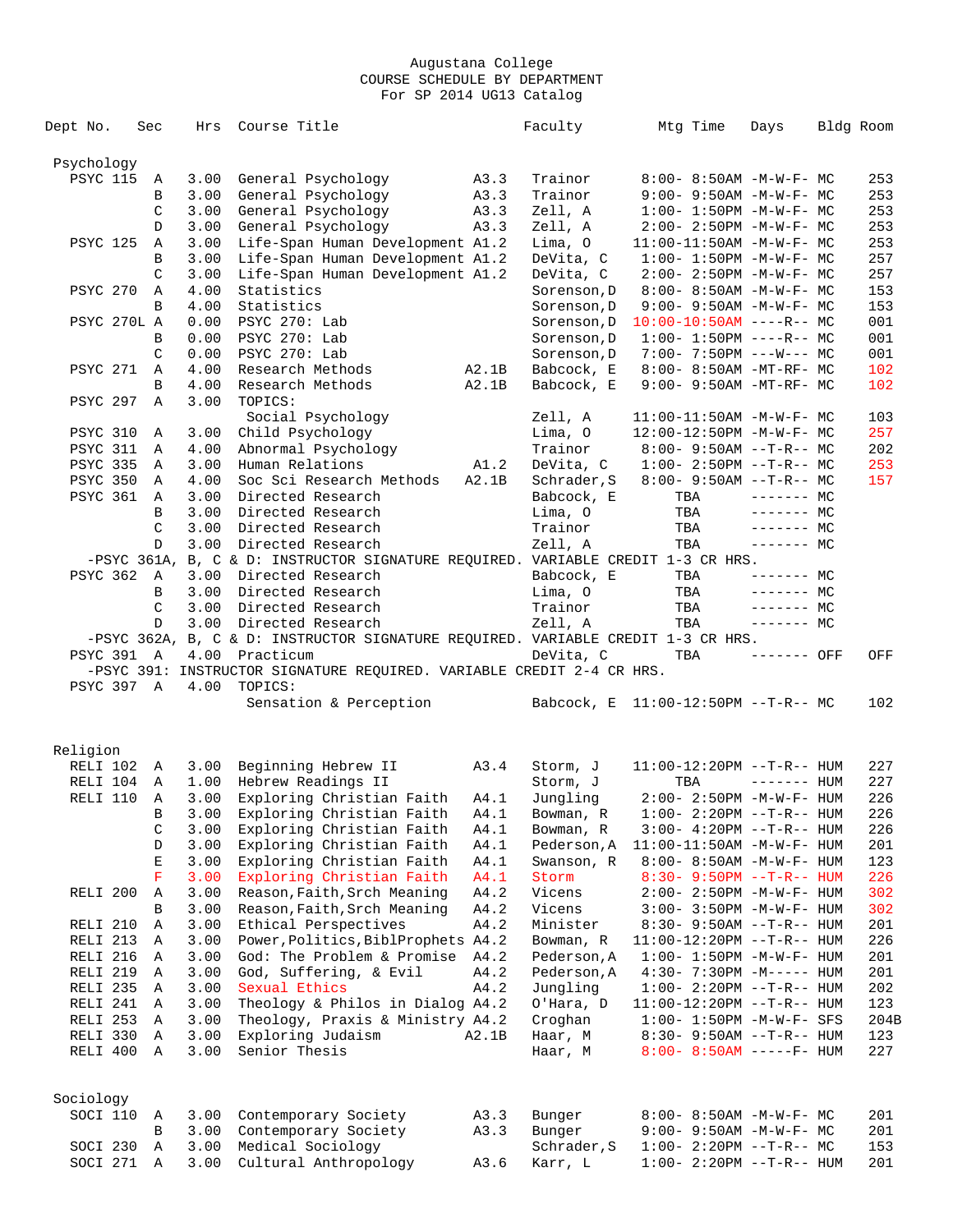| Dept No.          | Sec         | Hrs          | Course Title                                                                     |       | Faculty     | Mtg Time                          | Days           | Bldg Room |      |
|-------------------|-------------|--------------|----------------------------------------------------------------------------------|-------|-------------|-----------------------------------|----------------|-----------|------|
| Psychology        |             |              |                                                                                  |       |             |                                   |                |           |      |
| <b>PSYC 115</b>   | A           | 3.00         | General Psychology                                                               | A3.3  | Trainor     | $8:00 - 8:50AM - M - W - F - MC$  |                |           | 253  |
|                   | В           | 3.00         | General Psychology                                                               | A3.3  | Trainor     | $9:00 - 9:50AM - M - W - F - MC$  |                |           | 253  |
|                   | C           | 3.00         | General Psychology                                                               | A3.3  | Zell, A     | $1:00 - 1:50PM - M - W - F - MC$  |                |           | 253  |
|                   | D           | 3.00         | General Psychology                                                               | A3.3  | Zell, A     | $2:00 - 2:50PM -M-W-F - MC$       |                |           | 253  |
|                   |             |              |                                                                                  |       |             |                                   |                |           | 253  |
| <b>PSYC 125</b>   | Α           | 3.00         | Life-Span Human Development A1.2                                                 |       | Lima, O     | $11:00-11:50AM$ -M-W-F- MC        |                |           |      |
|                   | B           | 3.00         | Life-Span Human Development A1.2                                                 |       | DeVita, C   | $1:00 - 1:50PM - M - W - F - MC$  |                |           | 257  |
|                   | C           | 3.00         | Life-Span Human Development A1.2                                                 |       | DeVita, C   | $2:00 - 2:50PM -M-W-F - MC$       |                |           | 257  |
| <b>PSYC 270</b>   | Α           | 4.00         | Statistics                                                                       |       | Sorenson, D | 8:00- 8:50AM -M-W-F- MC           |                |           | 153  |
|                   | B           | 4.00         | Statistics                                                                       |       | Sorenson, D | $9:00 - 9:50AM - M - W - F - MC$  |                |           | 153  |
| PSYC 270L A       |             | 0.00         | PSYC 270: Lab                                                                    |       | Sorenson, D | $10:00-10:50AM$ ----R-- MC        |                |           | 001  |
|                   | В           | 0.00         | PSYC 270: Lab                                                                    |       | Sorenson, D | $1:00-1:50PM$ ----R-- MC          |                |           | 001  |
|                   | C           | 0.00         | PSYC 270: Lab                                                                    |       | Sorenson, D | $7:00 - 7:50PM$ ---W--- MC        |                |           | 001  |
| <b>PSYC 271</b>   | Α           | 4.00         | Research Methods                                                                 | A2.1B | Babcock, E  | 8:00- 8:50AM -MT-RF- MC           |                |           | 102  |
|                   | B           | 4.00         | Research Methods                                                                 | A2.1B | Babcock, E  | 9:00- 9:50AM -MT-RF- MC           |                |           | 102  |
| <b>PSYC 297</b>   | Α           | 3.00         | TOPICS:                                                                          |       |             |                                   |                |           |      |
|                   |             |              | Social Psychology                                                                |       | Zell, A     | $11:00-11:50AM$ -M-W-F- MC        |                |           | 103  |
| <b>PSYC 310</b>   | Α           | 3.00         | Child Psychology                                                                 |       | Lima, O     | 12:00-12:50PM -M-W-F- MC          |                |           | 257  |
| PSYC 311          | Α           | 4.00         | Abnormal Psychology                                                              |       | Trainor     | $8:00 - 9:50AM -T-R-- MC$         |                |           | 202  |
| <b>PSYC 335</b>   | A           | 3.00         | Human Relations                                                                  | A1.2  | DeVita, C   | $1:00-2:50PM$ --T-R-- MC          |                |           | 253  |
| <b>PSYC 350</b>   | Α           | 4.00         | Soc Sci Research Methods                                                         | A2.1B | Schrader, S | $8:00-9:50AM --T-R--MC$           |                |           | 157  |
| <b>PSYC 361</b>   | A           | 3.00         | Directed Research                                                                |       | Babcock, E  | TBA                               | $------$ MC    |           |      |
|                   | B           | 3.00         | Directed Research                                                                |       | Lima, O     | TBA                               | $------MC$     |           |      |
|                   | C           | 3.00         | Directed Research                                                                |       | Trainor     | TBA                               | $------MC$     |           |      |
|                   | D           | 3.00         | Directed Research                                                                |       | Zell, A     | TBA                               | $------$ MC    |           |      |
|                   |             |              | -PSYC 361A, B, C & D: INSTRUCTOR SIGNATURE REQUIRED. VARIABLE CREDIT 1-3 CR HRS. |       |             |                                   |                |           |      |
| <b>PSYC 362</b>   | A           | 3.00         | Directed Research                                                                |       | Babcock, E  | TBA                               | $------MC$     |           |      |
|                   | B           | 3.00         | Directed Research                                                                |       | Lima, O     | TBA                               | $------MC$     |           |      |
|                   | C           | 3.00         | Directed Research                                                                |       | Trainor     | TBA                               | $--- - - -$ MC |           |      |
|                   | D           | 3.00         | Directed Research                                                                |       | Zell, A     | TBA                               | $-----MC$      |           |      |
|                   |             |              | -PSYC 362A, B, C & D: INSTRUCTOR SIGNATURE REQUIRED. VARIABLE CREDIT 1-3 CR HRS. |       |             |                                   |                |           |      |
| <b>PSYC 391 A</b> |             | 4.00         | Practicum                                                                        |       | DeVita, C   | TBA                               | ------- OFF    |           | OFF  |
|                   |             |              | -PSYC 391: INSTRUCTOR SIGNATURE REQUIRED. VARIABLE CREDIT 2-4 CR HRS.            |       |             |                                   |                |           |      |
| PSYC 397 A        |             | 4.00         | TOPICS:                                                                          |       |             |                                   |                |           |      |
|                   |             |              | Sensation & Perception                                                           |       | Babcock, E  | 11:00-12:50PM --T-R-- MC          |                |           | 102  |
|                   |             |              |                                                                                  |       |             |                                   |                |           |      |
| Religion          |             |              |                                                                                  |       |             |                                   |                |           |      |
| RELI 102          | A           | 3.00         | Beginning Hebrew II                                                              | A3.4  | Storm, J    | 11:00-12:20PM --T-R-- HUM         |                |           | 227  |
| RELI 104          | Α           | 1.00         | Hebrew Readings II                                                               |       | Storm, J    | TBA                               | $------$ HUM   |           | 227  |
| RELI 110          | Α           | 3.00         | Exploring Christian Faith                                                        | A4.1  | Jungling    | $2:00 - 2:50PM -M-W-F- HUM$       |                |           | 226  |
|                   | B           | 3.00         | Exploring Christian Faith                                                        |       | Bowman, R   |                                   |                |           | 226  |
|                   |             |              |                                                                                  | A4.1  |             | $1:00 - 2:20PM -T-R--HUM$         |                |           |      |
|                   | C           | 3.00<br>3.00 | Exploring Christian Faith                                                        | A4.1  | Bowman, R   | $3:00-4:20PM -T-R--HUM$           |                |           | 226  |
|                   | D           | 3.00         | Exploring Christian Faith                                                        | A4.1  | Pederson, A | 11:00-11:50AM -M-W-F- HUM         |                |           | 201  |
|                   | E           |              | Exploring Christian Faith                                                        | A4.1  | Swanson, R  | 8:00- 8:50AM -M-W-F- HUM          |                |           | 123  |
|                   | $\mathbf F$ | 3.00         | Exploring Christian Faith                                                        | A4.1  | Storm       | $8:30 - 9:50PM -T-R-- HUM$        |                |           | 226  |
| RELI 200          | Α           | 3.00         | Reason, Faith, Srch Meaning                                                      | A4.2  | Vicens      | 2:00- 2:50PM -M-W-F- HUM          |                |           | 302  |
|                   | B           | 3.00         | Reason, Faith, Srch Meaning                                                      | A4.2  | Vicens      | 3:00- 3:50PM -M-W-F- HUM          |                |           | 302  |
| RELI 210          | Α           | 3.00         | Ethical Perspectives                                                             | A4.2  | Minister    | 8:30- 9:50AM --T-R-- HUM          |                |           | 201  |
| RELI 213          | Α           | 3.00         | Power, Politics, BiblProphets A4.2                                               |       | Bowman, R   | $11:00-12:20PM -T-R--HUM$         |                |           | 226  |
| RELI 216          | Α           | 3.00         | God: The Problem & Promise                                                       | A4.2  | Pederson, A | $1:00 - 1:50PM - M - W - F - HUM$ |                |           | 201  |
| RELI 219          | Α           | 3.00         | God, Suffering, & Evil                                                           | A4.2  | Pederson, A | $4:30 - 7:30PM -M-----$ HUM       |                |           | 201  |
| RELI 235          | Α           | 3.00         | Sexual Ethics                                                                    | A4.2  | Jungling    | $1:00-2:20PM -T-R--HUM$           |                |           | 202  |
| RELI 241          | Α           | 3.00         | Theology & Philos in Dialog A4.2                                                 |       | O'Hara, D   | $11:00-12:20PM$ --T-R-- HUM       |                |           | 123  |
| RELI 253          | Α           | 3.00         | Theology, Praxis & Ministry A4.2                                                 |       | Croghan     | $1:00 - 1:50PM - M - W - F - SFS$ |                |           | 204B |
| RELI 330          | Α           | 3.00         | Exploring Judaism                                                                | A2.1B | Haar, M     | $8:30 - 9:50AM -T-R-- HUM$        |                |           | 123  |
| RELI 400          | Α           | 3.00         | Senior Thesis                                                                    |       | Haar, M     | $8:00 - 8:50AM$ -----F- HUM       |                |           | 227  |
|                   |             |              |                                                                                  |       |             |                                   |                |           |      |
| Sociology         |             |              |                                                                                  |       |             |                                   |                |           |      |
| SOCI 110          | Α           | 3.00         | Contemporary Society                                                             | A3.3  | Bunger      | 8:00- 8:50AM -M-W-F- MC           |                |           | 201  |
|                   | B           | 3.00         | Contemporary Society                                                             | A3.3  | Bunger      | 9:00- 9:50AM -M-W-F- MC           |                |           | 201  |
| SOCI 230          | Α           | 3.00         | Medical Sociology                                                                |       | Schrader, S | $1:00-2:20PM -T-R--MC$            |                |           | 153  |
| SOCI 271 A        |             | 3.00         | Cultural Anthropology                                                            | A3.6  | Karr, L     | $1:00-2:20PM -T-R--HUM$           |                |           | 201  |
|                   |             |              |                                                                                  |       |             |                                   |                |           |      |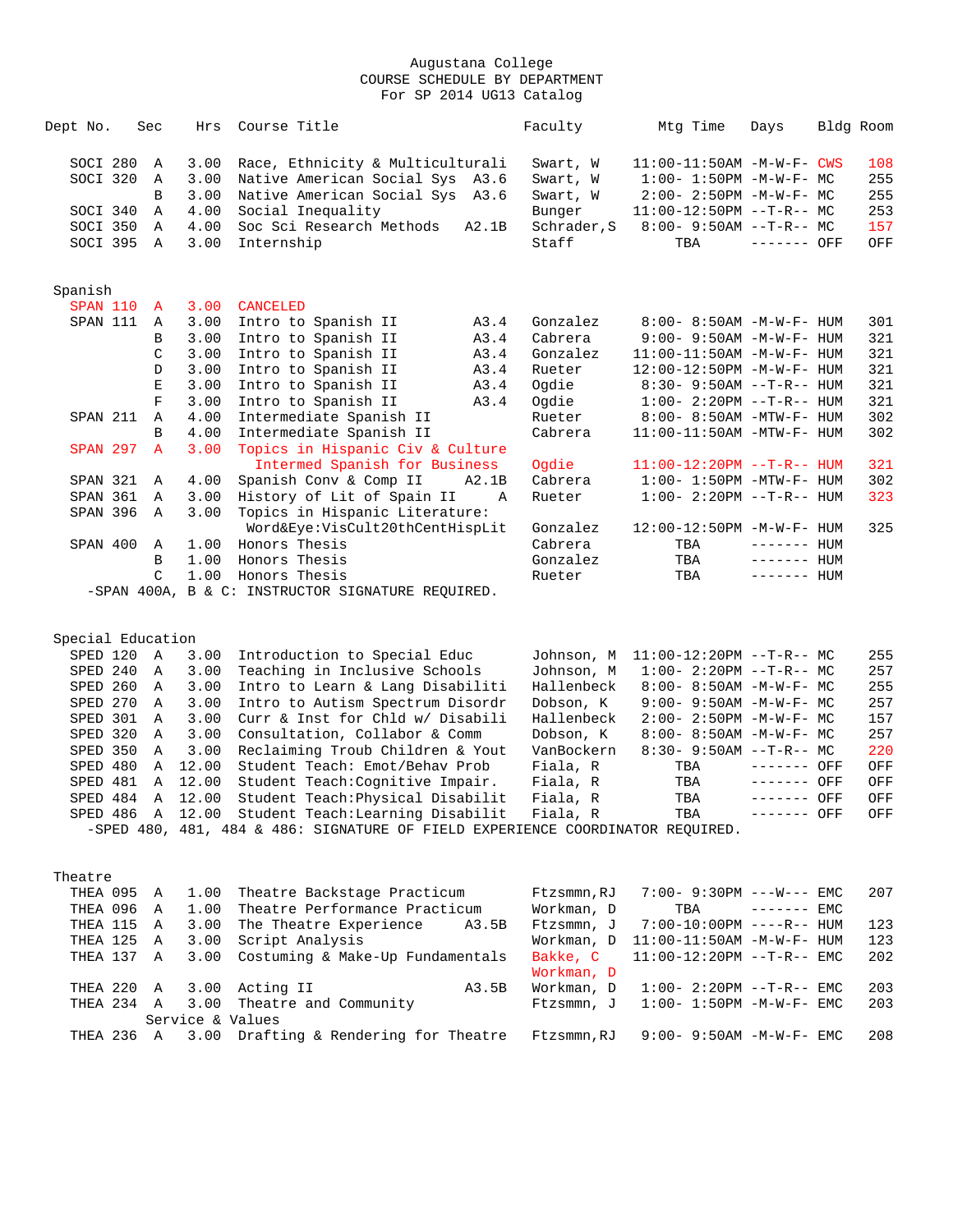| Dept No.        | Sec            | Hrs  | Course Title                                      | Faculty     | Mtg Time                          | Days         | Bldg Room |     |
|-----------------|----------------|------|---------------------------------------------------|-------------|-----------------------------------|--------------|-----------|-----|
| SOCI 280        | A              | 3.00 | Race, Ethnicity & Multiculturali                  | Swart, W    | $11:00-11:50AM$ -M-W-F- CWS       |              |           | 108 |
| SOCI 320        | A              | 3.00 | Native American Social Sys A3.6                   | Swart, W    | $1:00 - 1:50PM -M-W-F-MC$         |              |           | 255 |
|                 | B              | 3.00 | Native American Social Sys A3.6                   | Swart, W    | $2:00 - 2:50PM -M-W-F-MC$         |              |           | 255 |
| SOCI 340        | Α              | 4.00 | Social Inequality                                 | Bunger      | $11:00-12:50PM$ --T-R-- MC        |              |           | 253 |
| SOCI 350        | $\mathbb{A}$   | 4.00 | Soc Sci Research Methods A2.1B                    | Schrader, S | $8:00 - 9:50AM -T-R - M$          |              |           | 157 |
| SOCI 395        | A              | 3.00 | Internship                                        | Staff       | TBA                               | $------$ OFF |           | OFF |
|                 |                |      |                                                   |             |                                   |              |           |     |
| Spanish         |                |      |                                                   |             |                                   |              |           |     |
| SPAN 110        | $\overline{A}$ | 3.00 | <b>CANCELED</b>                                   |             |                                   |              |           |     |
| SPAN 111        | A              | 3.00 | Intro to Spanish II<br>A3.4                       | Gonzalez    | $8:00 - 8:50AM - M - W - F - HUM$ |              |           | 301 |
|                 | B              | 3.00 | Intro to Spanish II<br>A3.4                       | Cabrera     | $9:00 - 9:50AM - M - W - F - HUM$ |              |           | 321 |
|                 | C              | 3.00 | Intro to Spanish II<br>A3.4                       | Gonzalez    | $11:00-11:50AM$ $-M-W-F-$ HUM     |              |           | 321 |
|                 | <sup>D</sup>   | 3.00 | Intro to Spanish II<br>A3.4                       | Rueter      | 12:00-12:50PM -M-W-F- HUM         |              |           | 321 |
|                 | E              | 3.00 | Intro to Spanish II<br>A3.4                       | Ogdie       | $8:30 - 9:50AM -T-R - HUM$        |              |           | 321 |
|                 | F              | 3.00 | Intro to Spanish II<br>A3.4                       | Oqdie       | $1:00-2:20PM -T-R--HUM$           |              |           | 321 |
| SPAN 211        | A              | 4.00 | Intermediate Spanish II                           | Rueter      | $8:00 - 8:50AM - MTW - F - HUM$   |              |           | 302 |
|                 | <sub>B</sub>   | 4.00 | Intermediate Spanish II                           | Cabrera     | $11:00-11:50AM - MTW-F - HUM$     |              |           | 302 |
| <b>SPAN 297</b> | $\overline{A}$ | 3.00 | Topics in Hispanic Civ & Culture                  |             |                                   |              |           |     |
|                 |                |      | Intermed Spanish for Business                     | Ogdie       | $11:00-12:20PM$ --T-R-- HUM       |              |           | 321 |
| SPAN 321        | A              | 4.00 | Spanish Conv & Comp II<br>A2.1B                   | Cabrera     | $1:00-1:50PM -MTW-F-HUM$          |              |           | 302 |
| SPAN 361        | $\mathbb{A}$   | 3.00 | History of Lit of Spain II<br>$\overline{A}$      | Rueter      | $1:00 - 2:20PM -T-R--HUM$         |              |           | 323 |
| SPAN 396        | A              | 3.00 | Topics in Hispanic Literature:                    |             |                                   |              |           |     |
|                 |                |      | Word&Eye:VisCult20thCentHispLit                   | Gonzalez    | 12:00-12:50PM -M-W-F- HUM         |              |           | 325 |
| SPAN 400        | $\mathbb{A}$   | 1.00 | Honors Thesis                                     | Cabrera     | TBA                               | $------$ HUM |           |     |
|                 | B              | 1.00 | Honors Thesis                                     | Gonzalez    | TBA                               | $------$ HUM |           |     |
|                 | C              | 1.00 | Honors Thesis                                     | Rueter      | TBA                               | $------$ HUM |           |     |
|                 |                |      | -SPAN 400A, B & C: INSTRUCTOR SIGNATURE REOUIRED. |             |                                   |              |           |     |

Special Education

| SPED 120 A |              |                  | 3.00 Introduction to Special Educ                                              | Johnson, M | 11:00-12:20PM --T-R-- MC         |              | 255 |
|------------|--------------|------------------|--------------------------------------------------------------------------------|------------|----------------------------------|--------------|-----|
| SPED 240   | A            |                  | 3.00 Teaching in Inclusive Schools                                             | Johnson, M | $1:00-2:20PM --T-R--MC$          |              | 257 |
| SPED 260 A |              |                  | 3.00 Intro to Learn & Lang Disabiliti                                          | Hallenbeck | $8:00 - 8:50AM - M - W - F - MC$ |              | 255 |
| SPED 270   | $\mathbb{A}$ |                  | 3.00 Intro to Autism Spectrum Disordr                                          | Dobson, K  | $9:00-9:50$ AM $-M-W-F-MC$       |              | 257 |
| SPED 301 A |              |                  | 3.00 Curr & Inst for Chld w/ Disabili                                          | Hallenbeck | $2:00-2:50PM -M-W-F-MC$          |              | 157 |
|            |              |                  | SPED 320 A 3.00 Consultation, Collabor & Comm                                  | Dobson, K  | $8:00 - 8:50AM - M - W - F - MC$ |              | 257 |
|            |              |                  | SPED 350 A 3.00 Reclaiming Troub Children & Yout                               | VanBockern | $8:30 - 9:50AM -T-R-- MC$        |              | 220 |
|            |              |                  | SPED 480 A 12.00 Student Teach: Emot/Behav Prob                                | Fiala, R   | TBA                              | ------- OFF  | OFF |
|            |              |                  | SPED 481 A 12.00 Student Teach: Cognitive Impair.                              | Fiala, R   | TBA                              | ------- OFF  | OFF |
|            |              | SPED 484 A 12.00 | Student Teach: Physical Disabilit                                              | Fiala, R   | TBA ------- OFF                  |              | OFF |
|            |              |                  | SPED 486 A 12.00 Student Teach: Learning Disabilit                             | Fiala, R   | TBA                              | $------$ OFF | OFF |
|            |              |                  | -SPED 480, 481, 484 & 486: SIGNATURE OF FIELD EXPERIENCE COORDINATOR REOUIRED. |            |                                  |              |     |
|            |              |                  |                                                                                |            |                                  |              |     |

| Theatre    |                |      |                                                  |            |                                   |     |
|------------|----------------|------|--------------------------------------------------|------------|-----------------------------------|-----|
| THEA 095 A |                | 1.00 | Theatre Backstage Practicum                      | Ftzsmmn,RJ | $7:00 - 9:30PM ---W---$ EMC       | 207 |
| THEA 096   | $\overline{A}$ |      | 1.00 Theatre Performance Practicum               | Workman, D | TBA<br>------- EMC                |     |
| THEA 115   | A              | 3.00 | The Theatre Experience<br>A3.5B                  | Ftzsmmn, J | 7:00-10:00PM ----R-- HUM          | 123 |
| THEA 125   | $\mathbb A$    | 3.00 | Script Analysis                                  | Workman, D | $11:00-11:50$ AM $-M-W-F-$ HUM    | 123 |
| THEA 137 A |                |      | 3.00 Costuming & Make-Up Fundamentals            | Bakke, C   | $11:00-12:20$ PM --T-R-- EMC      | 202 |
|            |                |      |                                                  | Workman, D |                                   |     |
| THEA 220   |                |      | A 3.00 Acting II<br>A3.5B                        | Workman, D | $1:00-2:20PM --T-R--EMC$          | 203 |
|            |                |      | THEA 234 A 3.00 Theatre and Community            | Ftzsmmn, J | $1:00 - 1:50PM - M - W - F - EMC$ | 203 |
|            |                |      | Service & Values                                 |            |                                   |     |
|            |                |      | THEA 236 A 3.00 Drafting & Rendering for Theatre | Ftzsmmn,RJ | $9:00 - 9:50$ AM $-M-W-F-$ EMC    | 208 |
|            |                |      |                                                  |            |                                   |     |